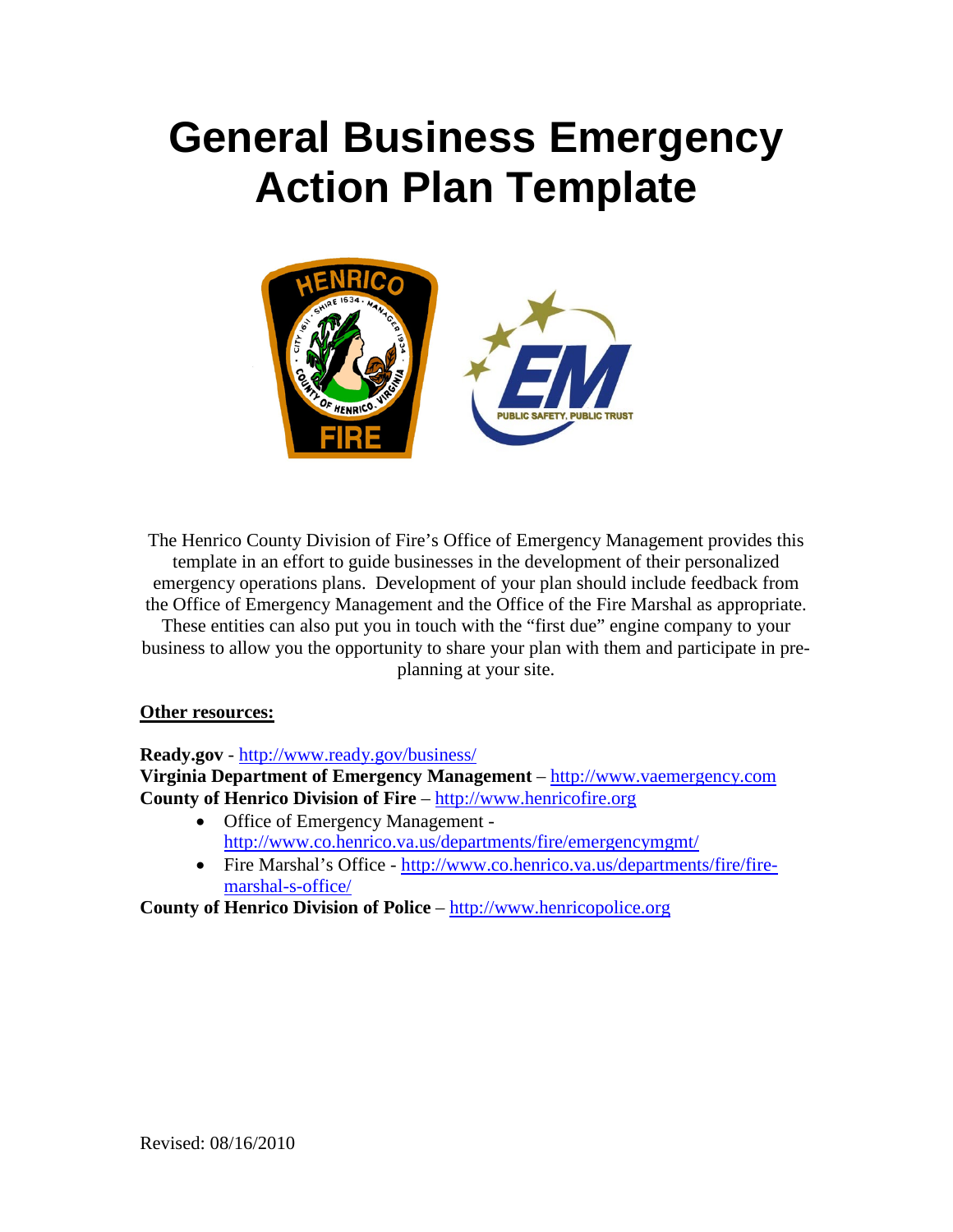# **General Business Emergency Action Plan Template**



The Henrico County Division of Fire's Office of Emergency Management provides this template in an effort to guide businesses in the development of their personalized emergency operations plans. Development of your plan should include feedback from the Office of Emergency Management and the Office of the Fire Marshal as appropriate.

These entities can also put you in touch with the "first due" engine company to your business to allow you the opportunity to share your plan with them and participate in preplanning at your site.

#### **Other resources:**

**Ready.gov** - <http://www.ready.gov/business/>

**Virginia Department of Emergency Management** – [http://www.vaemergency.com](http://www.vaemergency.com/) **County of Henrico Division of Fire** – [http://www.henricofire.org](http://www.henricofire.org/)

- Office of Emergency Management <http://www.co.henrico.va.us/departments/fire/emergencymgmt/>
- Fire Marshal's Office [http://www.co.henrico.va.us/departments/fire/fire](http://www.co.henrico.va.us/departments/fire/fire-marshal-s-office/)[marshal-s-office/](http://www.co.henrico.va.us/departments/fire/fire-marshal-s-office/)

**County of Henrico Division of Police** – [http://www.henricopolice.org](http://www.henricopolice.org/)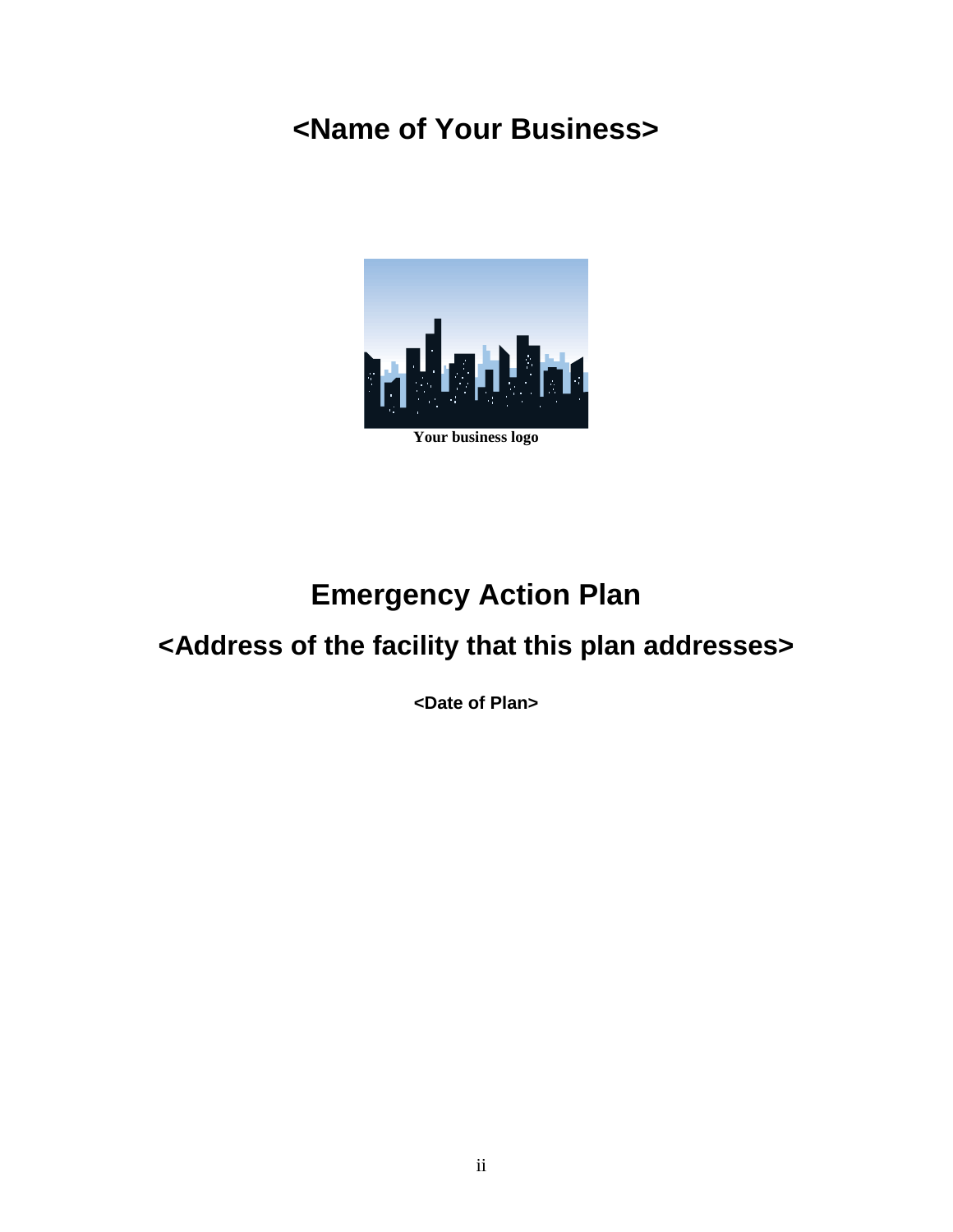# **<Name of Your Business>**



# **Emergency Action Plan**

# **<Address of the facility that this plan addresses>**

**<Date of Plan>**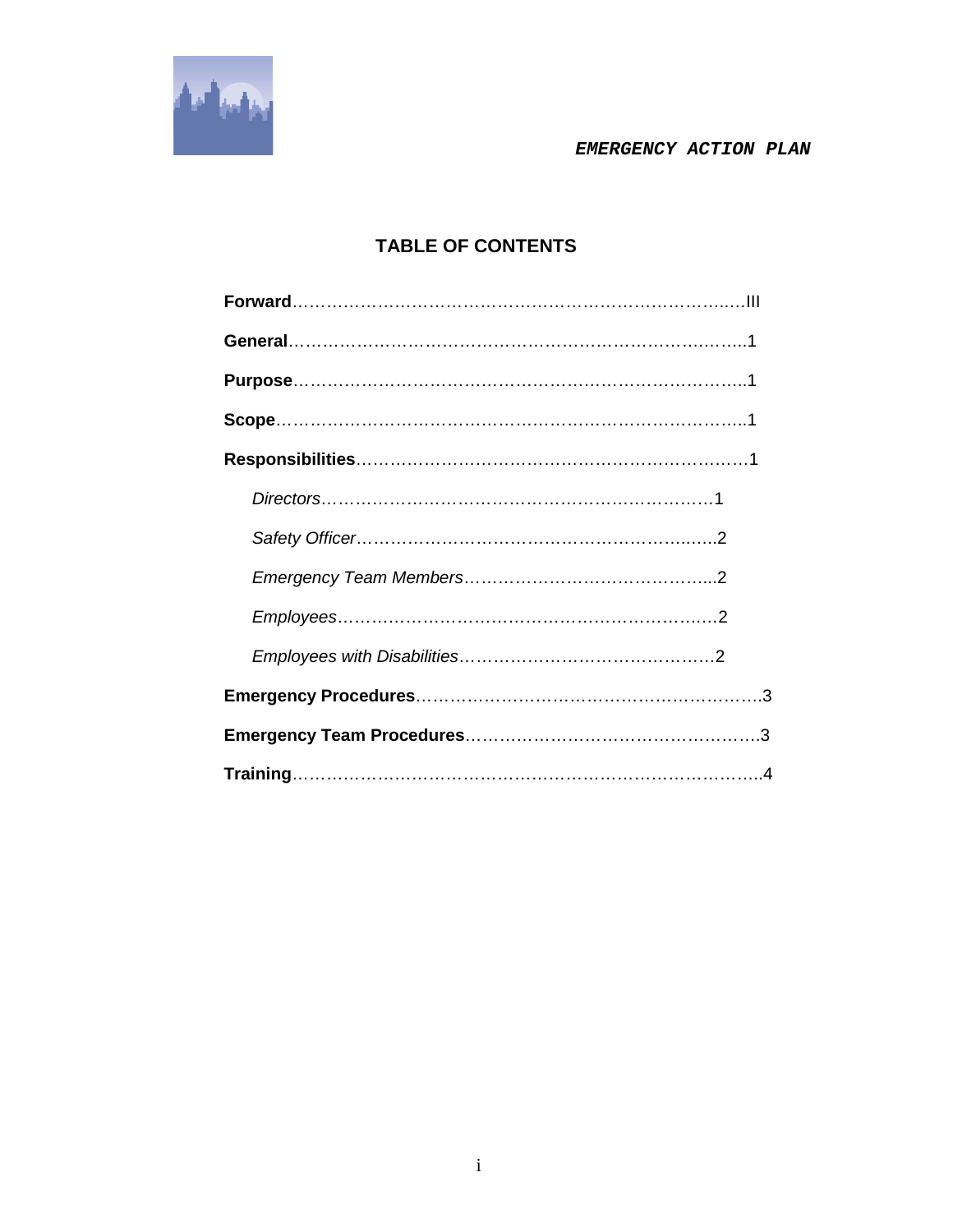

### **TABLE OF CONTENTS**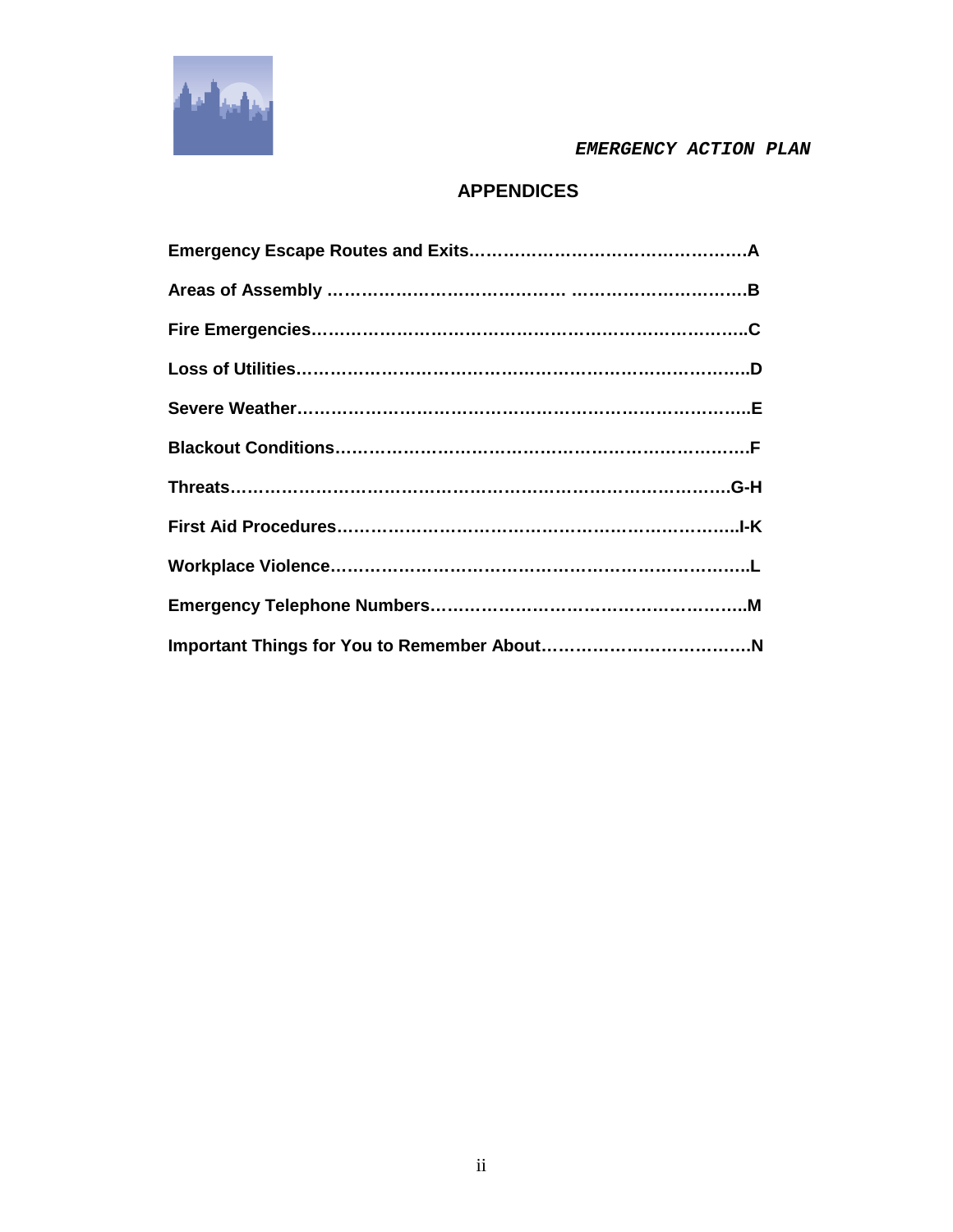

### **APPENDICES**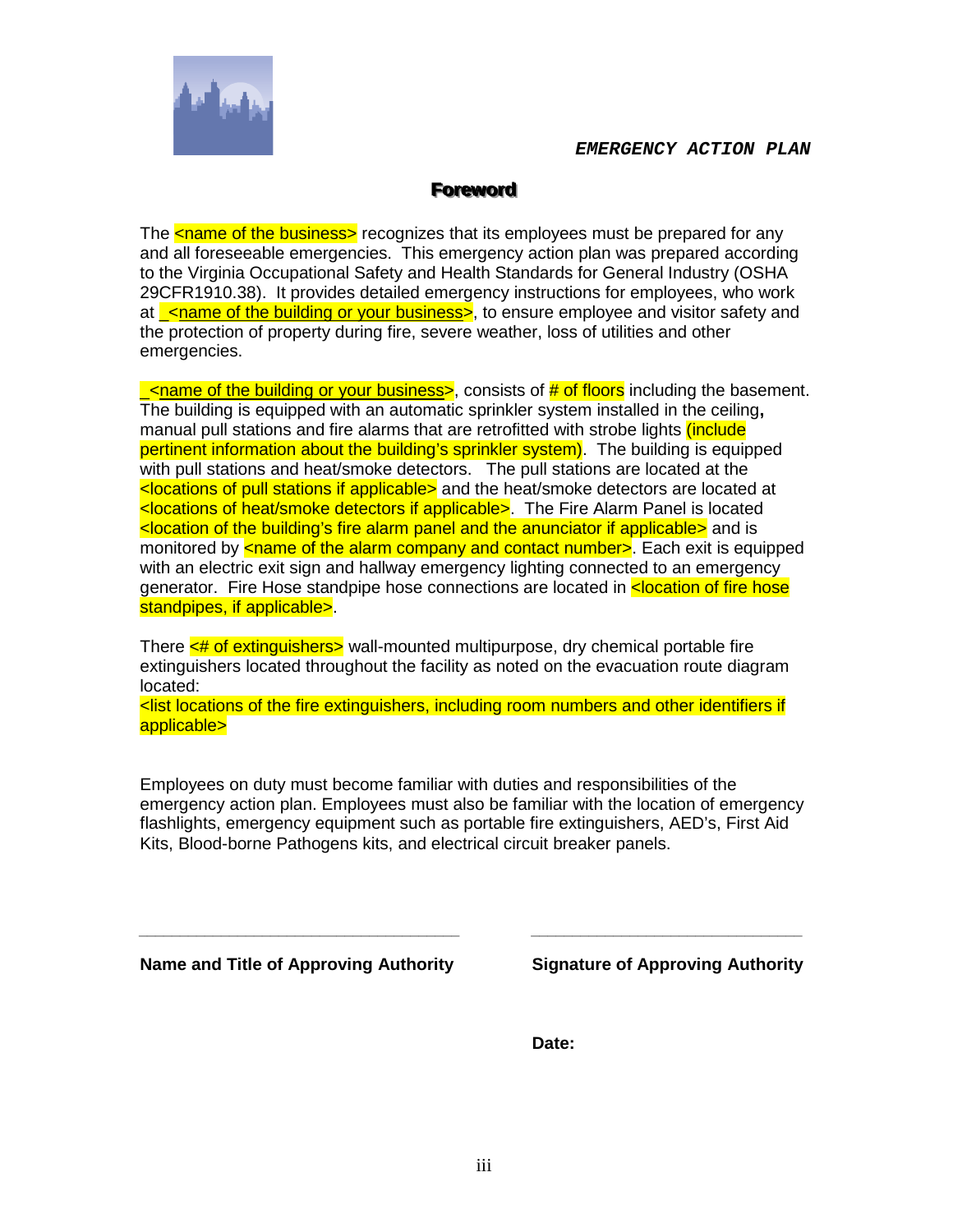

#### **Foreword**

The **<name of the business>** recognizes that its employees must be prepared for any and all foreseeable emergencies. This emergency action plan was prepared according to the Virginia Occupational Safety and Health Standards for General Industry (OSHA 29CFR1910.38). It provides detailed emergency instructions for employees, who work at <u>calame of the building or your business</u>, to ensure employee and visitor safety and the protection of property during fire, severe weather, loss of utilities and other emergencies.

 $\le$ name of the building or your business>, consists of # of floors including the basement. The building is equipped with an automatic sprinkler system installed in the ceiling**,**  manual pull stations and fire alarms that are retrofitted with strobe lights *(include*) pertinent information about the building's sprinkler system). The building is equipped with pull stations and heat/smoke detectors. The pull stations are located at the <locations of pull stations if applicable> and the heat/smoke detectors are located at <locations of heat/smoke detectors if applicable>. The Fire Alarm Panel is located <location of the building's fire alarm panel and the anunciator if applicable> and is monitored by  $\leq$ name of the alarm company and contact number >. Each exit is equipped with an electric exit sign and hallway emergency lighting connected to an emergency generator. Fire Hose standpipe hose connections are located in **<location of fire hose** standpipes, if applicable>.

There  $\leq$  the of extinguishers> wall-mounted multipurpose, dry chemical portable fire extinguishers located throughout the facility as noted on the evacuation route diagram located:

<list locations of the fire extinguishers, including room numbers and other identifiers if applicable>

Employees on duty must become familiar with duties and responsibilities of the emergency action plan. Employees must also be familiar with the location of emergency flashlights, emergency equipment such as portable fire extinguishers, AED's, First Aid Kits, Blood-borne Pathogens kits, and electrical circuit breaker panels.

*\_\_\_\_\_\_\_\_\_\_\_\_\_\_\_\_\_\_\_\_\_\_\_\_\_\_\_\_\_\_\_\_\_\_\_\_\_\_\_ \_\_\_\_\_\_\_\_\_\_\_\_\_\_\_\_\_\_\_\_\_\_\_\_\_\_\_\_\_\_\_\_\_*

**Name and Title of Approving Authority Signature of Approving Authority**

**Date:**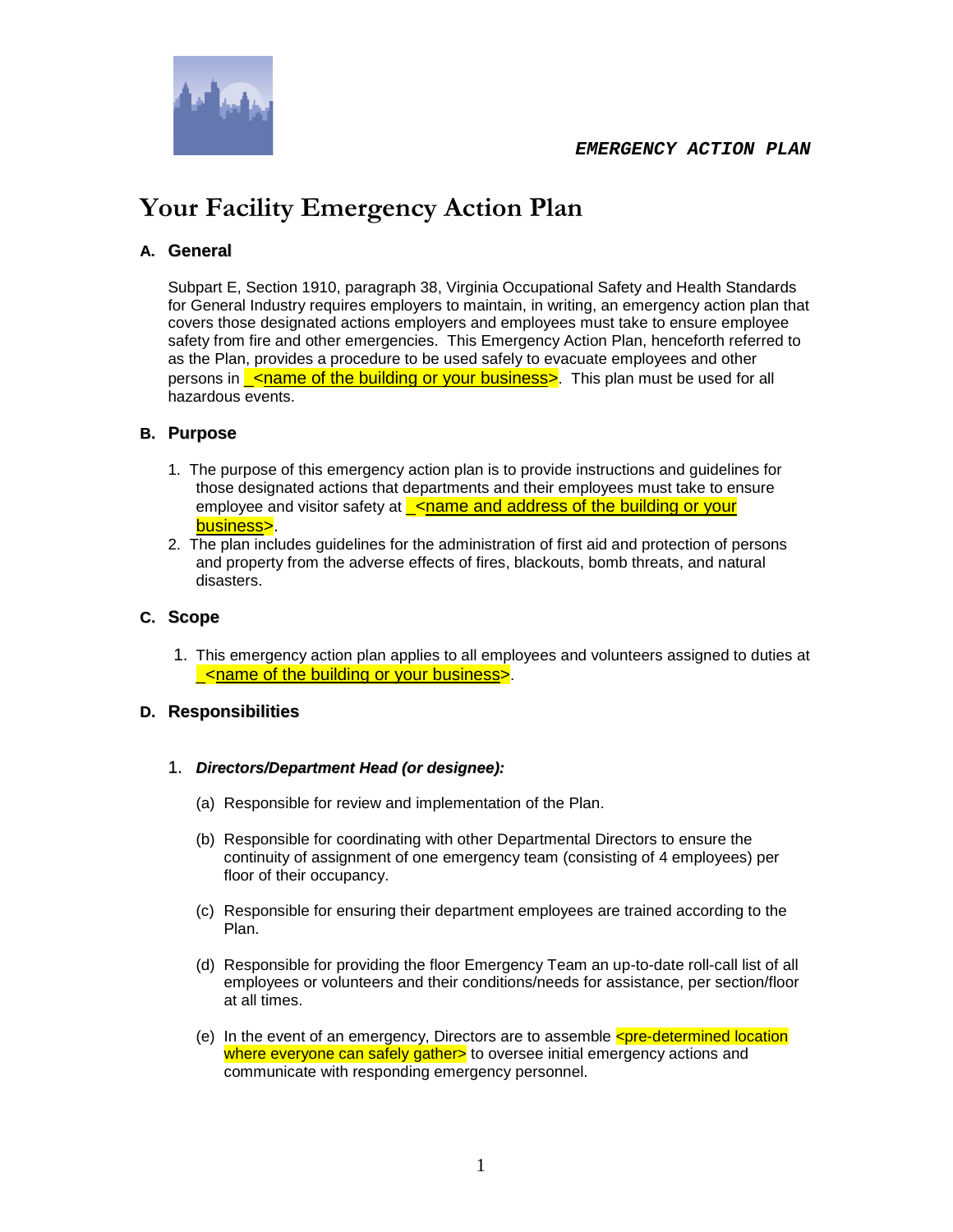

# **Your Facility Emergency Action Plan**

#### **A. General**

Subpart E, Section 1910, paragraph 38, Virginia Occupational Safety and Health Standards for General Industry requires employers to maintain, in writing, an emergency action plan that covers those designated actions employers and employees must take to ensure employee safety from fire and other emergencies. This Emergency Action Plan, henceforth referred to as the Plan, provides a procedure to be used safely to evacuate employees and other persons in **chame of the building or your business**. This plan must be used for all hazardous events.

#### **B. Purpose**

- 1. The purpose of this emergency action plan is to provide instructions and guidelines for those designated actions that departments and their employees must take to ensure employee and visitor safety at <u><name and address of the building or your</u> business>.
- 2. The plan includes guidelines for the administration of first aid and protection of persons and property from the adverse effects of fires, blackouts, bomb threats, and natural disasters.

#### **C. Scope**

1. This emergency action plan applies to all employees and volunteers assigned to duties at \_<name of the building or your business>.

#### **D. Responsibilities**

- 1. *Directors/Department Head (or designee):*
	- (a) Responsible for review and implementation of the Plan.
	- (b) Responsible for coordinating with other Departmental Directors to ensure the continuity of assignment of one emergency team (consisting of 4 employees) per floor of their occupancy.
	- (c) Responsible for ensuring their department employees are trained according to the Plan.
	- (d) Responsible for providing the floor Emergency Team an up-to-date roll-call list of all employees or volunteers and their conditions/needs for assistance, per section/floor at all times.
	- (e) In the event of an emergency, Directors are to assemble  $\leq$  pre-determined location where everyone can safely gather> to oversee initial emergency actions and communicate with responding emergency personnel.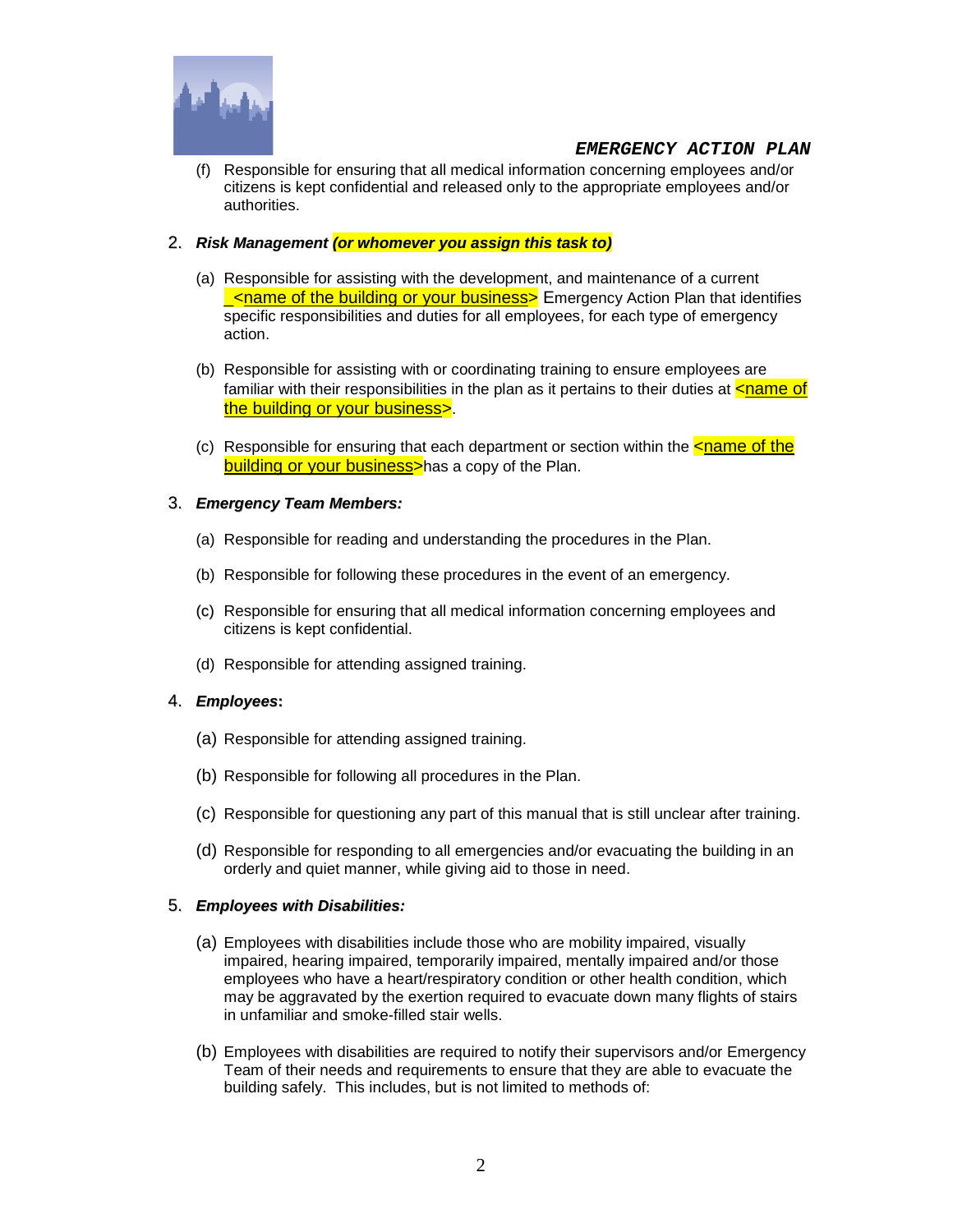

(f) Responsible for ensuring that all medical information concerning employees and/or citizens is kept confidential and released only to the appropriate employees and/or authorities.

#### 2. *Risk Management (or whomever you assign this task to)*

- (a) Responsible for assisting with the development, and maintenance of a current **\_<name of the building or your business>** Emergency Action Plan that identifies specific responsibilities and duties for all employees, for each type of emergency action.
- (b) Responsible for assisting with or coordinating training to ensure employees are familiar with their responsibilities in the plan as it pertains to their duties at  $\leq$ name of the building or your business>.
- (c) Responsible for ensuring that each department or section within the  $\leq$ name of the building or your business>has a copy of the Plan.

#### 3. *Emergency Team Members:*

- (a) Responsible for reading and understanding the procedures in the Plan.
- (b) Responsible for following these procedures in the event of an emergency.
- (c) Responsible for ensuring that all medical information concerning employees and citizens is kept confidential.
- (d) Responsible for attending assigned training.

#### 4. *Employees***:**

- (a) Responsible for attending assigned training.
- (b) Responsible for following all procedures in the Plan.
- (c) Responsible for questioning any part of this manual that is still unclear after training.
- (d) Responsible for responding to all emergencies and/or evacuating the building in an orderly and quiet manner, while giving aid to those in need.

#### 5. *Employees with Disabilities:*

- (a) Employees with disabilities include those who are mobility impaired, visually impaired, hearing impaired, temporarily impaired, mentally impaired and/or those employees who have a heart/respiratory condition or other health condition, which may be aggravated by the exertion required to evacuate down many flights of stairs in unfamiliar and smoke-filled stair wells.
- (b) Employees with disabilities are required to notify their supervisors and/or Emergency Team of their needs and requirements to ensure that they are able to evacuate the building safely. This includes, but is not limited to methods of: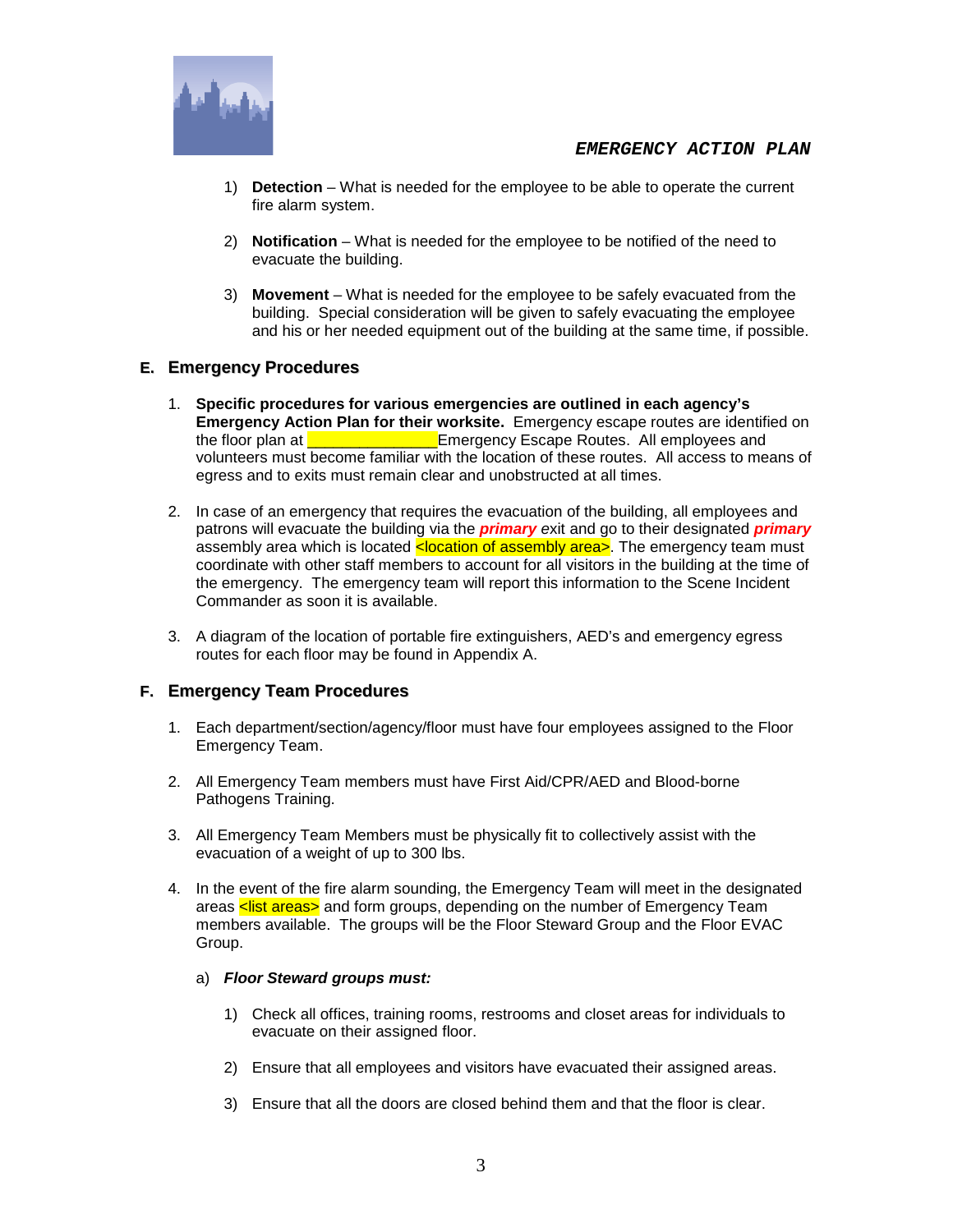

- 1) **Detection** What is needed for the employee to be able to operate the current fire alarm system.
- 2) **Notification** What is needed for the employee to be notified of the need to evacuate the building.
- 3) **Movement** What is needed for the employee to be safely evacuated from the building. Special consideration will be given to safely evacuating the employee and his or her needed equipment out of the building at the same time, if possible.

#### **E. Emergency Procedures**

- 1. **Specific procedures for various emergencies are outlined in each agency's Emergency Action Plan for their worksite.** Emergency escape routes are identified on the floor plan at **Example 20** Emergency Escape Routes. All employees and volunteers must become familiar with the location of these routes. All access to means of egress and to exits must remain clear and unobstructed at all times.
- 2. In case of an emergency that requires the evacuation of the building, all employees and patrons will evacuate the building via the *primary e*xit and go to their designated *primary*  assembly area which is located <u><location of assembly area></u>. The emergency team must coordinate with other staff members to account for all visitors in the building at the time of the emergency. The emergency team will report this information to the Scene Incident Commander as soon it is available.
- 3. A diagram of the location of portable fire extinguishers, AED's and emergency egress routes for each floor may be found in Appendix A.

#### **F. Emergency Team Procedures**

- 1. Each department/section/agency/floor must have four employees assigned to the Floor Emergency Team.
- 2. All Emergency Team members must have First Aid/CPR/AED and Blood-borne Pathogens Training.
- 3. All Emergency Team Members must be physically fit to collectively assist with the evacuation of a weight of up to 300 lbs.
- 4. In the event of the fire alarm sounding, the Emergency Team will meet in the designated areas <list areas> and form groups, depending on the number of Emergency Team members available. The groups will be the Floor Steward Group and the Floor EVAC Group.

#### a) *Floor Steward groups must:*

- 1) Check all offices, training rooms, restrooms and closet areas for individuals to evacuate on their assigned floor.
- 2) Ensure that all employees and visitors have evacuated their assigned areas.
- 3) Ensure that all the doors are closed behind them and that the floor is clear.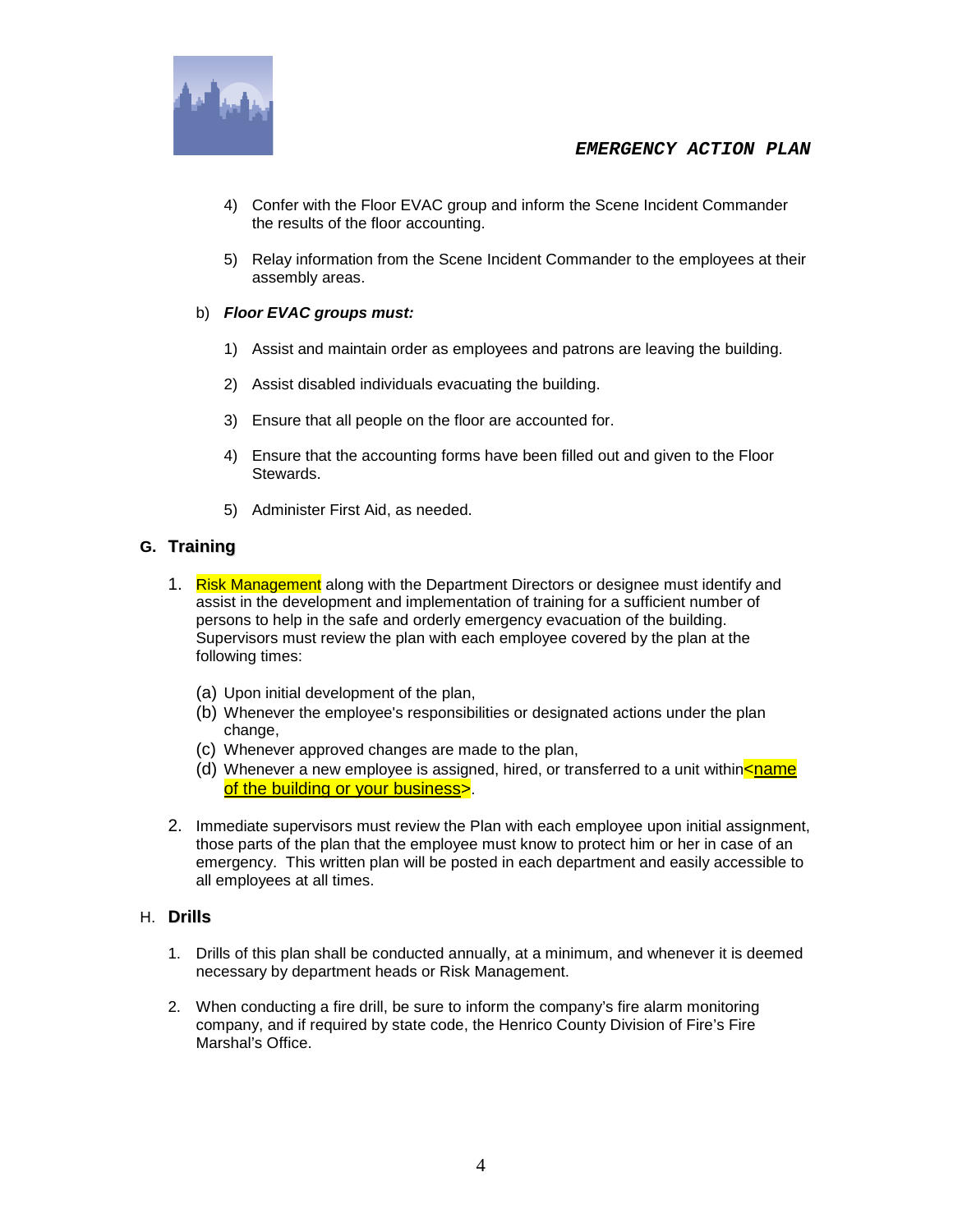

- 4) Confer with the Floor EVAC group and inform the Scene Incident Commander the results of the floor accounting.
- 5) Relay information from the Scene Incident Commander to the employees at their assembly areas.

#### b) *Floor EVAC groups must:*

- 1) Assist and maintain order as employees and patrons are leaving the building.
- 2) Assist disabled individuals evacuating the building.
- 3) Ensure that all people on the floor are accounted for.
- 4) Ensure that the accounting forms have been filled out and given to the Floor Stewards.
- 5) Administer First Aid, as needed.

#### **G. Training**

- 1. Risk Management along with the Department Directors or designee must identify and assist in the development and implementation of training for a sufficient number of persons to help in the safe and orderly emergency evacuation of the building. Supervisors must review the plan with each employee covered by the plan at the following times:
	- (a) Upon initial development of the plan,
	- (b) Whenever the employee's responsibilities or designated actions under the plan change,
	- (c) Whenever approved changes are made to the plan,
	- (d) Whenever a new employee is assigned, hired, or transferred to a unit within $\leq$ name of the building or your business>.
- 2. Immediate supervisors must review the Plan with each employee upon initial assignment, those parts of the plan that the employee must know to protect him or her in case of an emergency. This written plan will be posted in each department and easily accessible to all employees at all times.

#### H. **Drills**

- 1. Drills of this plan shall be conducted annually, at a minimum, and whenever it is deemed necessary by department heads or Risk Management.
- 2. When conducting a fire drill, be sure to inform the company's fire alarm monitoring company, and if required by state code, the Henrico County Division of Fire's Fire Marshal's Office.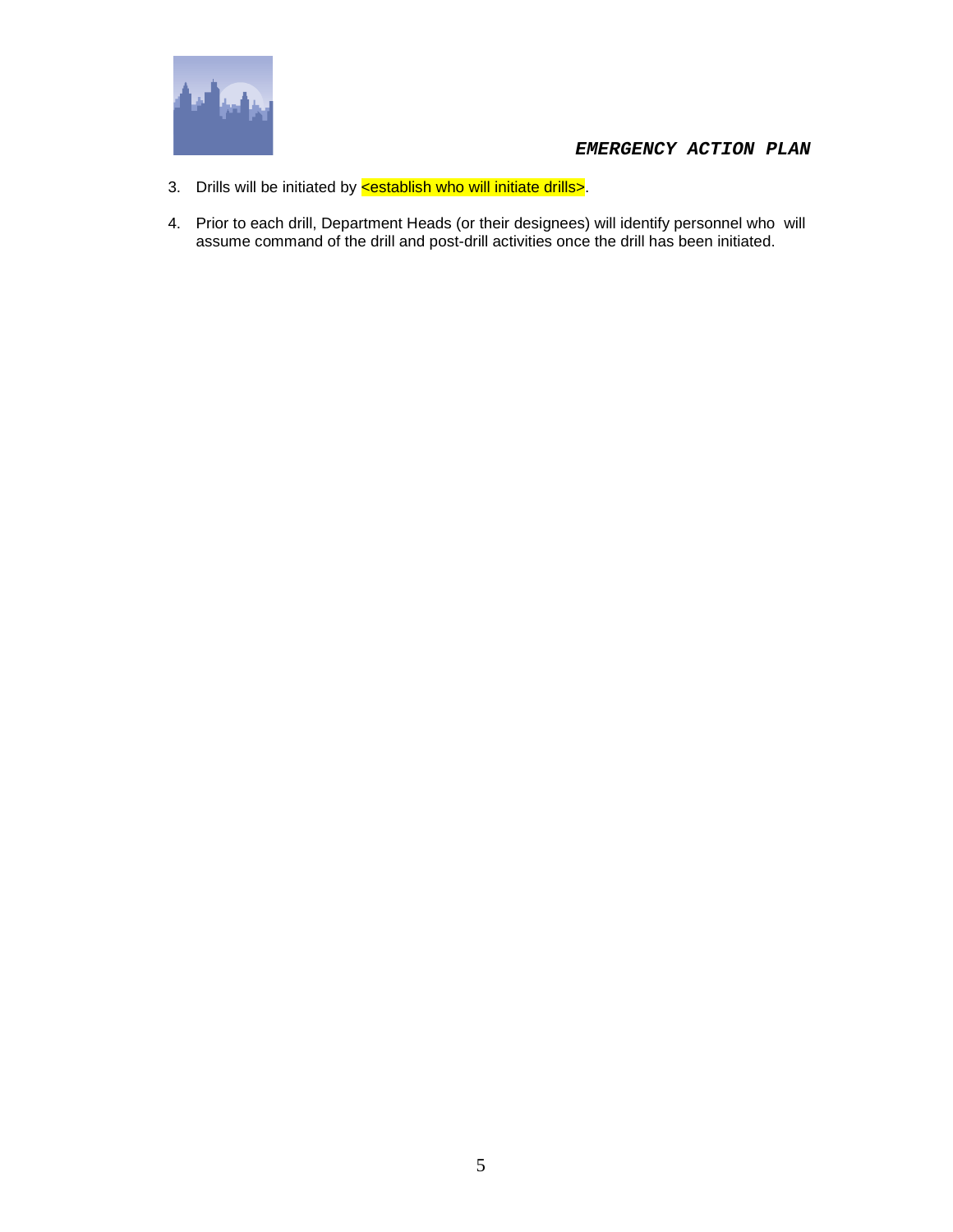

- 3. Drills will be initiated by **<establish who will initiate drills>**.
- 4. Prior to each drill, Department Heads (or their designees) will identify personnel who will assume command of the drill and post-drill activities once the drill has been initiated.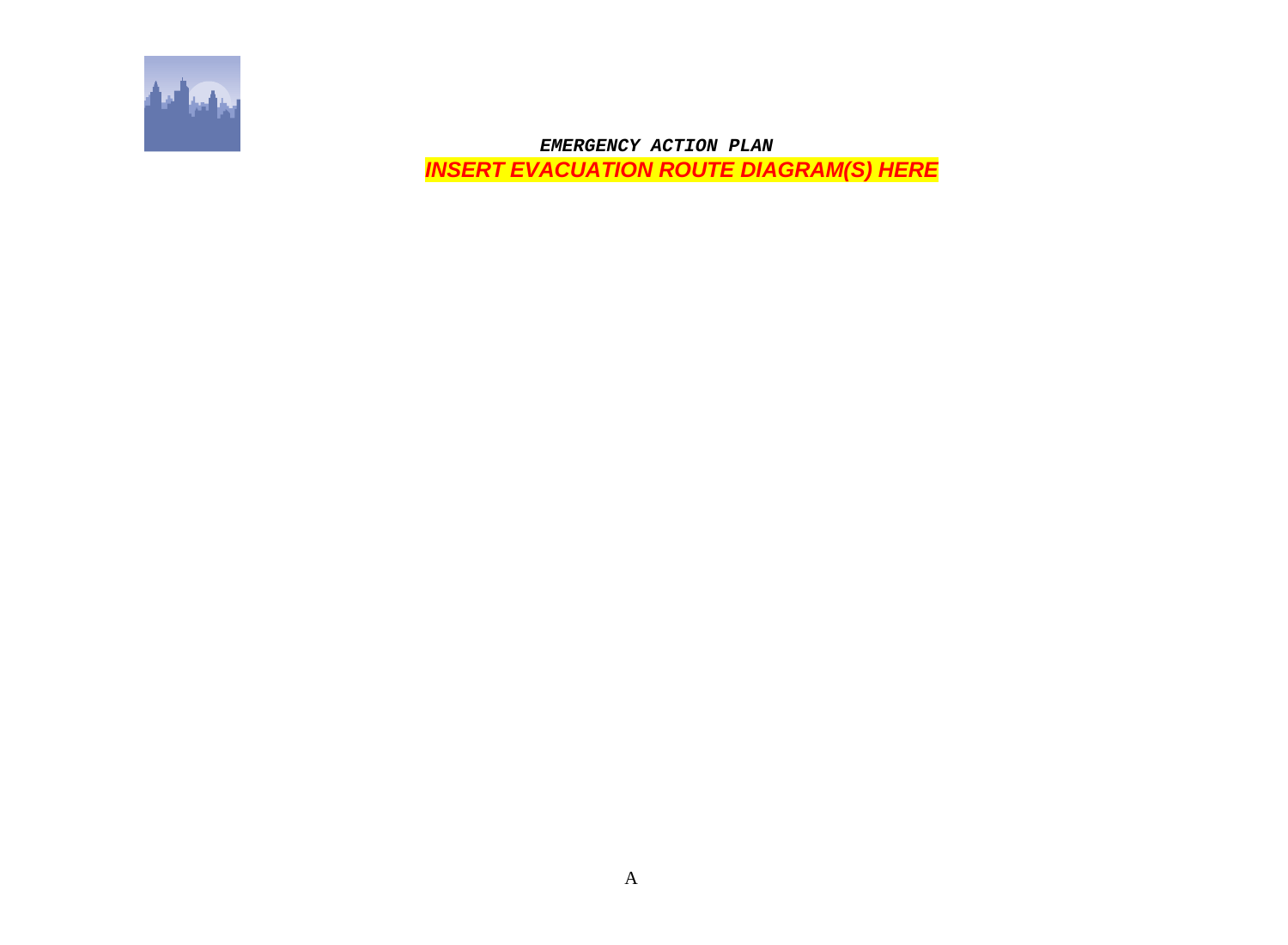

 *EMERGENCY ACTION PLAN INSERT EVACUATION ROUTE DIAGRAM(S) HERE*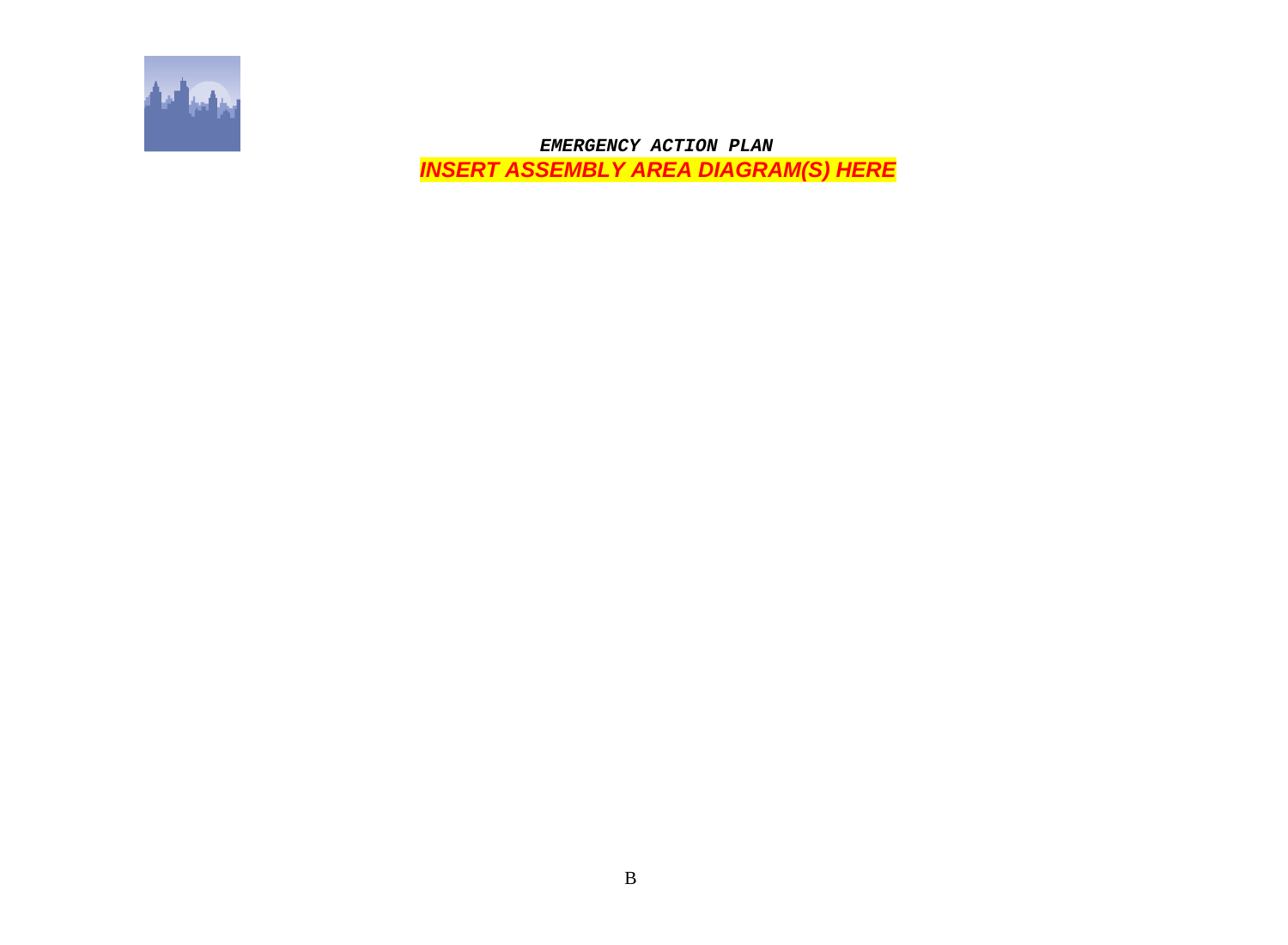

 *EMERGENCY ACTION PLAN INSERT ASSEMBLY AREA DIAGRAM(S) HERE*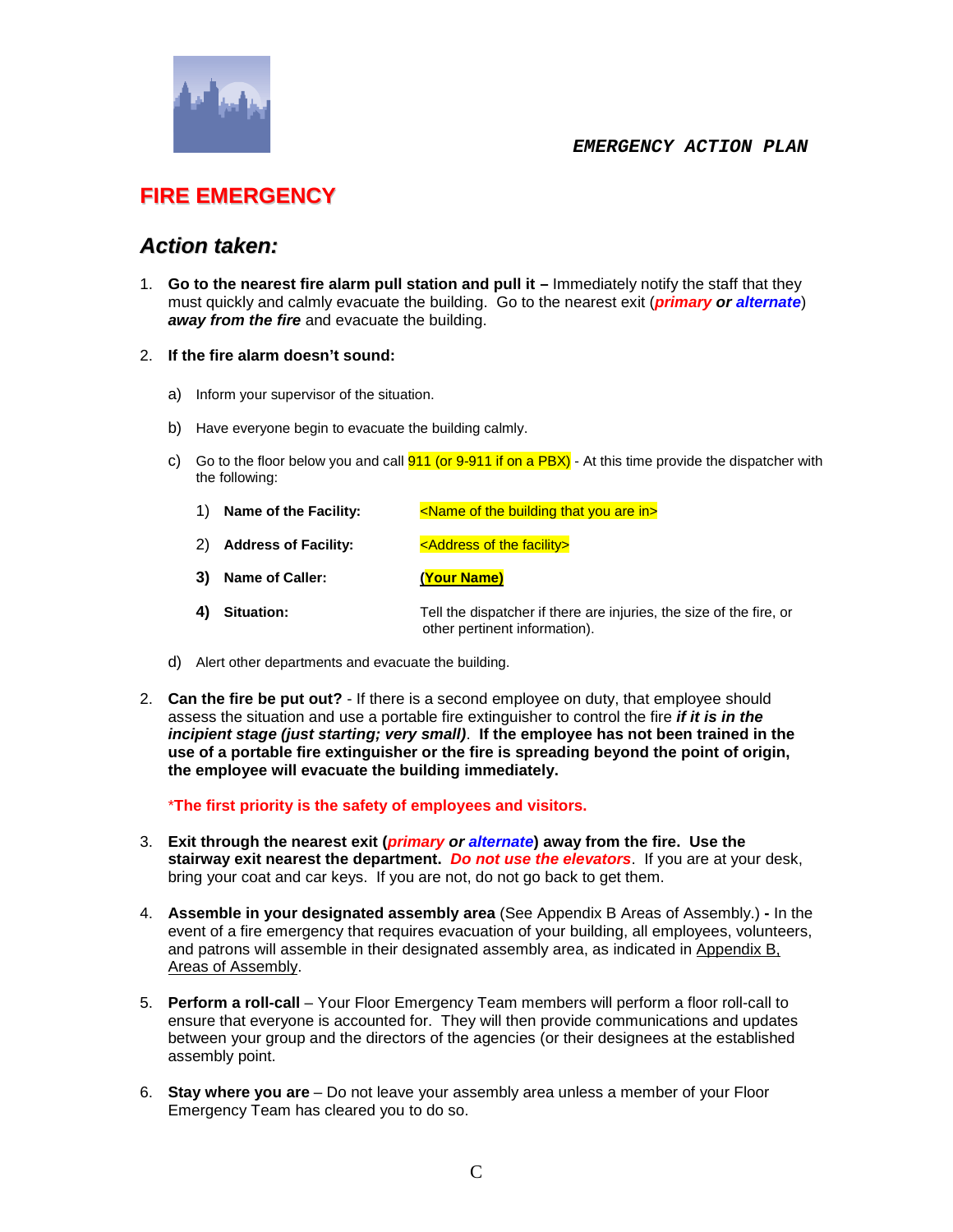

### **FIRE EMERGENCY**

### *Action taken:*

1. **Go to the nearest fire alarm pull station and pull it –** Immediately notify the staff that they must quickly and calmly evacuate the building. Go to the nearest exit (*primary or alternate*) *away from the fire* and evacuate the building.

#### 2. **If the fire alarm doesn't sound:**

- a) Inform your supervisor of the situation.
- b) Have everyone begin to evacuate the building calmly.
- c) Go to the floor below you and call  $911$  (or  $9.911$  if on a PBX) At this time provide the dispatcher with the following:
	- 1) **Name of the Facility:** <Name of the building that you are in
	- 2) **Address of Facility:** <a>>>>>>><<a>><</a></a></a></a></a></a>the facility></a></a>
	- **3) Name of Caller: (Your Name)**
	- **4) Situation:** Tell the dispatcher if there are injuries, the size of the fire, or other pertinent information).
- d) Alert other departments and evacuate the building.
- 2. **Can the fire be put out?** If there is a second employee on duty, that employee should assess the situation and use a portable fire extinguisher to control the fire *if it is in the incipient stage (just starting; very small)*. **If the employee has not been trained in the use of a portable fire extinguisher or the fire is spreading beyond the point of origin, the employee will evacuate the building immediately.**

\***The first priority is the safety of employees and visitors.**

- 3. **Exit through the nearest exit (***primary or alternate***) away from the fire. Use the stairway exit nearest the department.** *Do not use the elevators*. If you are at your desk, bring your coat and car keys. If you are not, do not go back to get them.
- 4. **Assemble in your designated assembly area** (See Appendix B Areas of Assembly.) **-** In the event of a fire emergency that requires evacuation of your building, all employees, volunteers, and patrons will assemble in their designated assembly area, as indicated in Appendix B, Areas of Assembly.
- 5. **Perform a roll-call** Your Floor Emergency Team members will perform a floor roll-call to ensure that everyone is accounted for. They will then provide communications and updates between your group and the directors of the agencies (or their designees at the established assembly point.
- 6. **Stay where you are** Do not leave your assembly area unless a member of your Floor Emergency Team has cleared you to do so.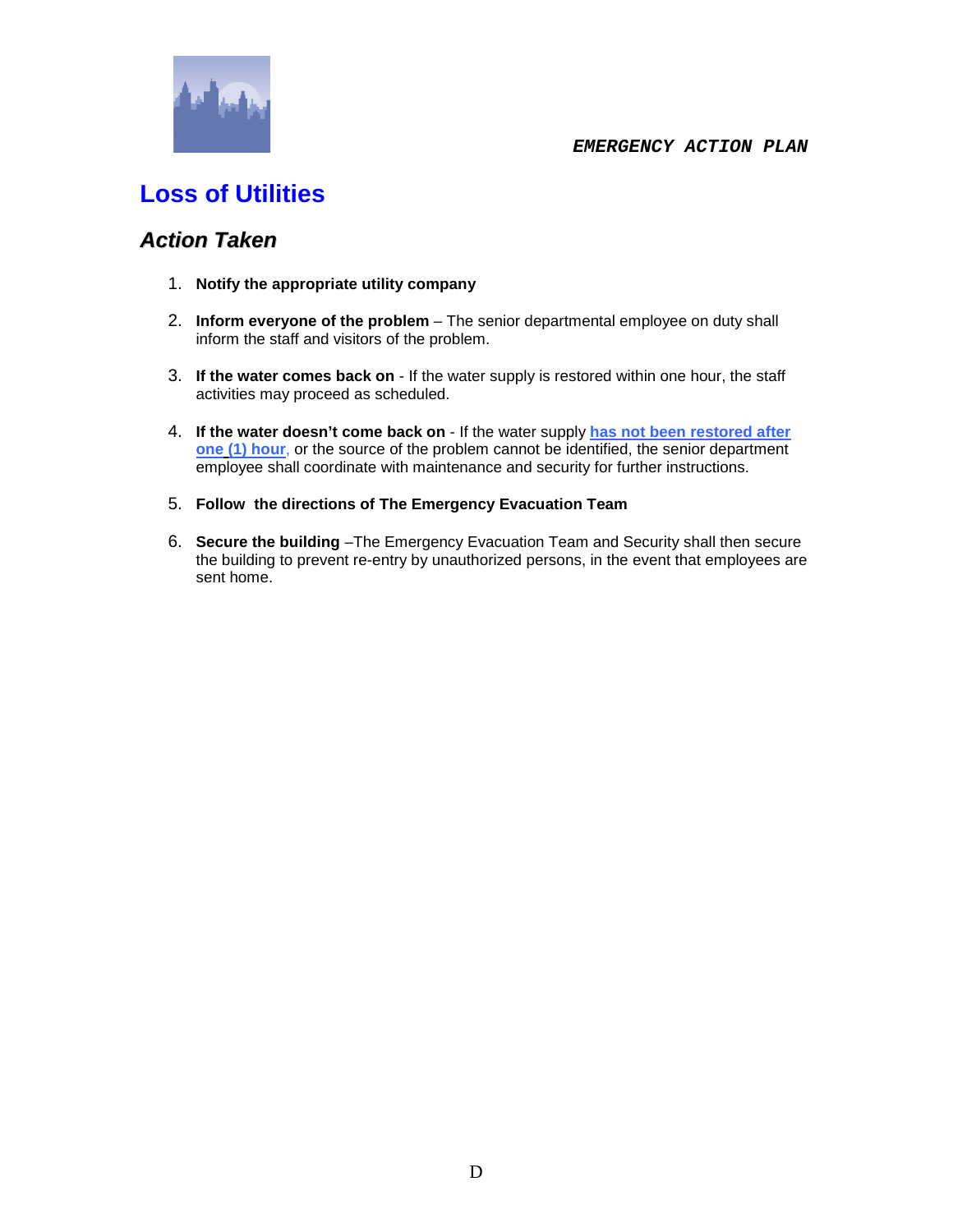

# **Loss of Utilities**

### *Action Taken*

- 1. **Notify the appropriate utility company**
- 2. **Inform everyone of the problem** The senior departmental employee on duty shall inform the staff and visitors of the problem.
- 3. **If the water comes back on** If the water supply is restored within one hour, the staff activities may proceed as scheduled.
- 4. **If the water doesn't come back on** If the water supply **has not been restored after one (1) hour**, or the source of the problem cannot be identified, the senior department employee shall coordinate with maintenance and security for further instructions.
- 5. **Follow the directions of The Emergency Evacuation Team**
- 6. **Secure the building** –The Emergency Evacuation Team and Security shall then secure the building to prevent re-entry by unauthorized persons, in the event that employees are sent home.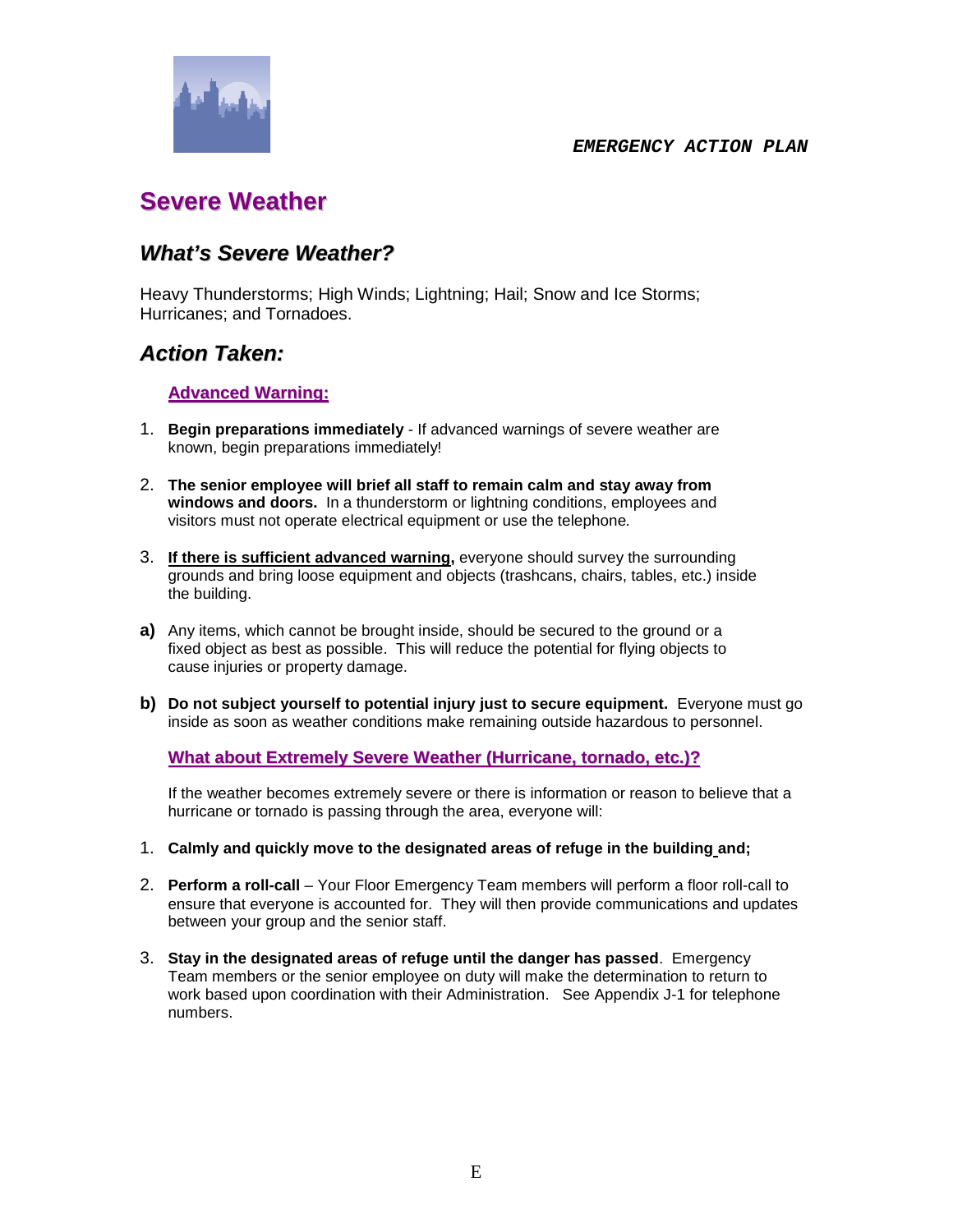

## **Severe Weather**

### *What's Severe Weather?*

Heavy Thunderstorms; High Winds; Lightning; Hail; Snow and Ice Storms; Hurricanes; and Tornadoes.

### *Action Taken:*

#### **Advanced Warning:**

- 1. **Begin preparations immediately** If advanced warnings of severe weather are known, begin preparations immediately!
- 2. **The senior employee will brief all staff to remain calm and stay away from windows and doors.** In a thunderstorm or lightning conditions, employees and visitors must not operate electrical equipment or use the telephone*.*
- 3. **If there is sufficient advanced warning,** everyone should survey the surrounding grounds and bring loose equipment and objects (trashcans, chairs, tables, etc.) inside the building.
- **a)** Any items, which cannot be brought inside, should be secured to the ground or a fixed object as best as possible. This will reduce the potential for flying objects to cause injuries or property damage.
- **b) Do not subject yourself to potential injury just to secure equipment.** Everyone must go inside as soon as weather conditions make remaining outside hazardous to personnel.

#### **What about Extremely Severe Weather (Hurricane, tornado, etc.)?**

If the weather becomes extremely severe or there is information or reason to believe that a hurricane or tornado is passing through the area, everyone will:

- 1. **Calmly and quickly move to the designated areas of refuge in the building and;**
- 2. **Perform a roll-call** Your Floor Emergency Team members will perform a floor roll-call to ensure that everyone is accounted for. They will then provide communications and updates between your group and the senior staff.
- 3. **Stay in the designated areas of refuge until the danger has passed**. Emergency Team members or the senior employee on duty will make the determination to return to work based upon coordination with their Administration. See Appendix J-1 for telephone numbers.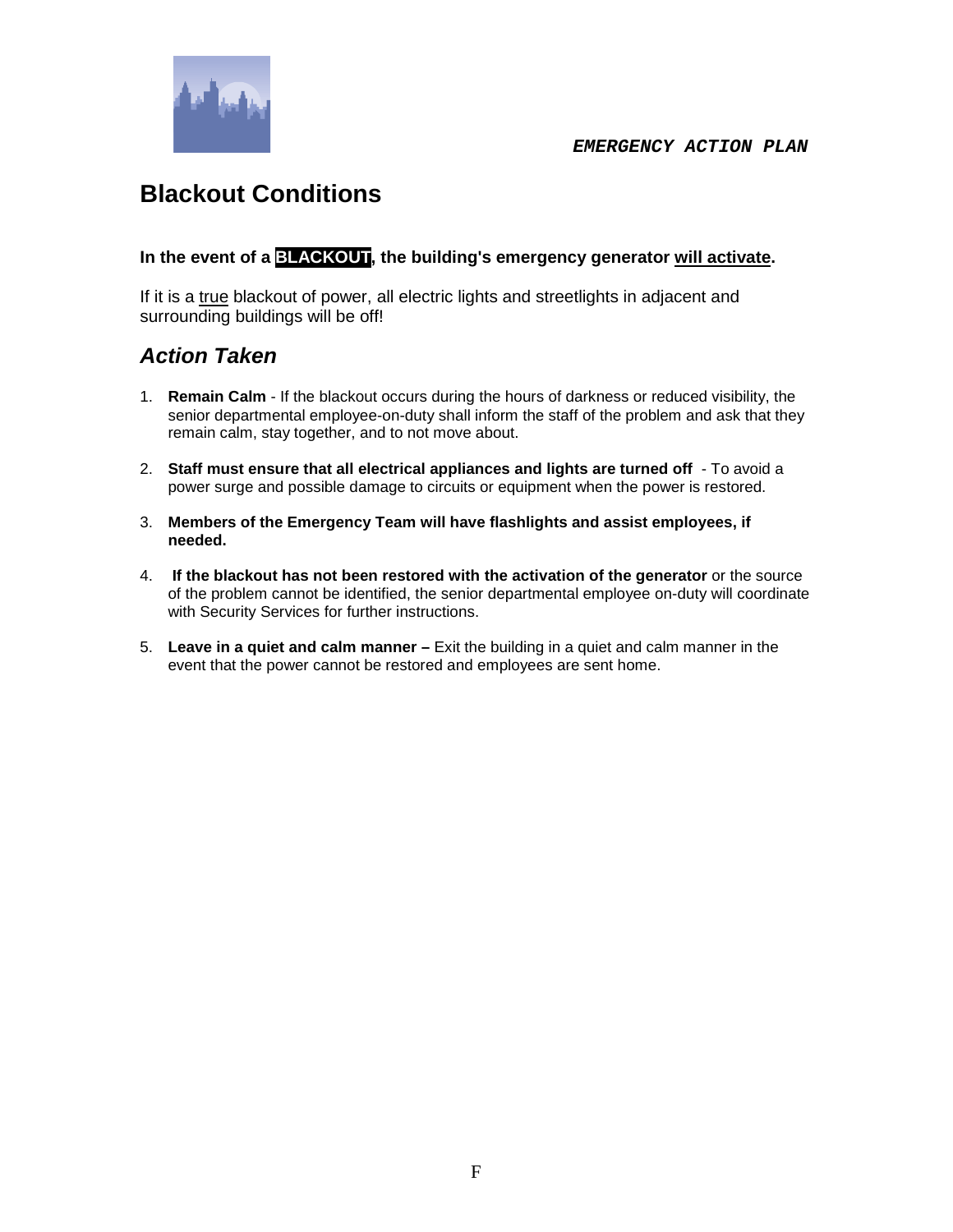

## **Blackout Conditions**

**In the event of a BLACKOUT, the building's emergency generator will activate.** 

If it is a true blackout of power, all electric lights and streetlights in adjacent and surrounding buildings will be off!

### *Action Taken*

- 1. **Remain Calm** If the blackout occurs during the hours of darkness or reduced visibility, the senior departmental employee-on-duty shall inform the staff of the problem and ask that they remain calm, stay together, and to not move about.
- 2. **Staff must ensure that all electrical appliances and lights are turned off** To avoid a power surge and possible damage to circuits or equipment when the power is restored.
- 3. **Members of the Emergency Team will have flashlights and assist employees, if needed.**
- 4. **If the blackout has not been restored with the activation of the generator** or the source of the problem cannot be identified, the senior departmental employee on-duty will coordinate with Security Services for further instructions.
- 5. **Leave in a quiet and calm manner –** Exit the building in a quiet and calm manner in the event that the power cannot be restored and employees are sent home.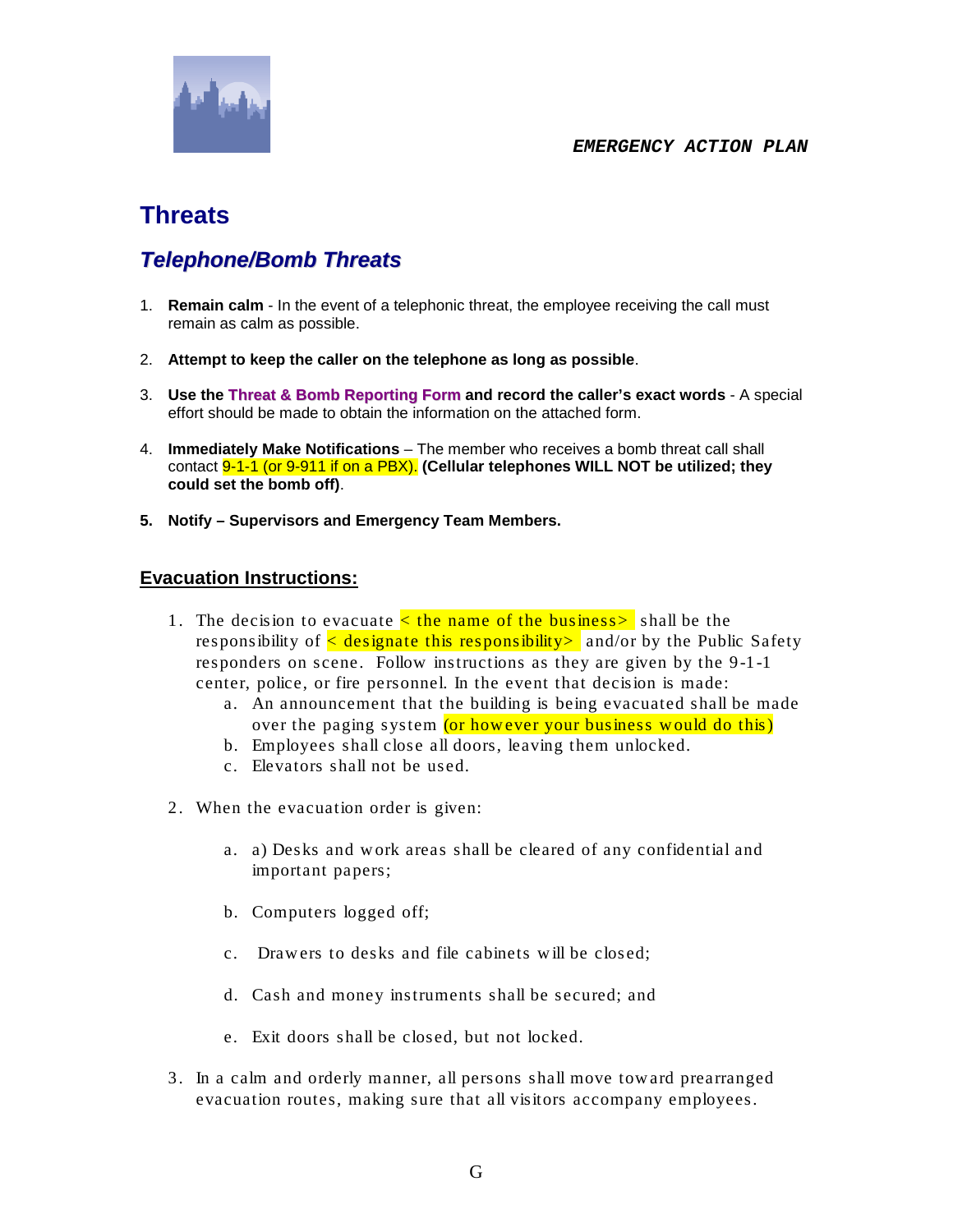

## **Threats**

### *Telephone/Bomb Threats*

- 1. **Remain calm** In the event of a telephonic threat, the employee receiving the call must remain as calm as possible.
- 2. **Attempt to keep the caller on the telephone as long as possible**.
- 3. **Use the Threat & Bomb Reporting Form and record the caller's exact words** A special effort should be made to obtain the information on the attached form.
- 4. **Immediately Make Notifications** The member who receives a bomb threat call shall contact 9-1-1 (or 9-911 if on a PBX). **(Cellular telephones WILL NOT be utilized; they could set the bomb off)**.
- **5. Notify – Supervisors and Emergency Team Members.**

#### **Evacuation Instructions:**

- 1. The decision to evacuate  $\lt$  the name of the business  $\gt$  shall be the responsibility of  $\leq$  designate this responsibility and/or by the Public Safety responders on scene. Follow instructions as they are given by the 9-1-1 center, police, or fire personnel. In the event that decision is made:
	- a. An announcement that the building is being evacuated shall be made over the paging system (or however your business would do this)
	- b. Employees shall close all doors, leaving them unlocked.
	- c. Elevators shall not be used.
- 2. When the evacuation order is given:
	- a. a) Desks and w ork areas shall be cleared of any confidential and important papers;
	- b. Computers logged off;
	- c. Draw ers to desks and file cabinets w ill be closed;
	- d. Cash and money instruments shall be secured; and
	- e. Exit doors shall be closed, but not locked.
- 3. In a calm and orderly manner, all persons shall move tow ard prearranged evacuation routes, making sure that all visitors accompany employees.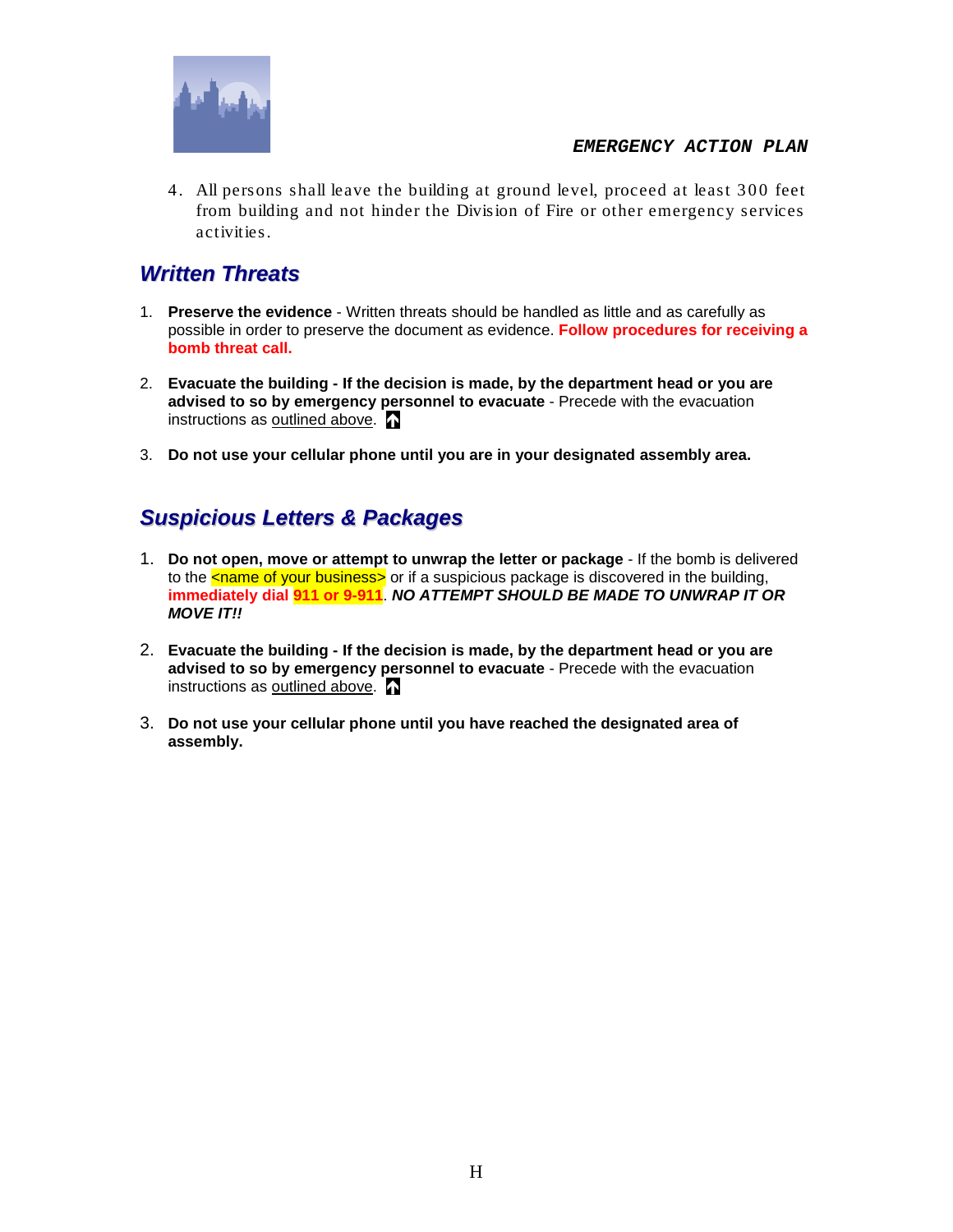

4. All persons shall leave the building at ground level, proceed at least 300 feet from building and not hinder the Division of Fire or other emergency services activities.

### *Written Threats*

- 1. **Preserve the evidence**  Written threats should be handled as little and as carefully as possible in order to preserve the document as evidence. **Follow procedures for receiving a bomb threat call.**
- 2. **Evacuate the building - If the decision is made, by the department head or you are advised to so by emergency personnel to evacuate** - Precede with the evacuation instructions as outlined above.
- 3. **Do not use your cellular phone until you are in your designated assembly area.**

### *Suspicious Letters & Packages*

- 1. **Do not open, move or attempt to unwrap the letter or package** If the bomb is delivered to the  $\frac{1}{2}$  chame of your business or if a suspicious package is discovered in the building, **immediately dial 911 or 9-911**. *NO ATTEMPT SHOULD BE MADE TO UNWRAP IT OR MOVE IT!!*
- 2. **Evacuate the building - If the decision is made, by the department head or you are advised to so by emergency personnel to evacuate** - Precede with the evacuation instructions as outlined above.
- 3. **Do not use your cellular phone until you have reached the designated area of assembly.**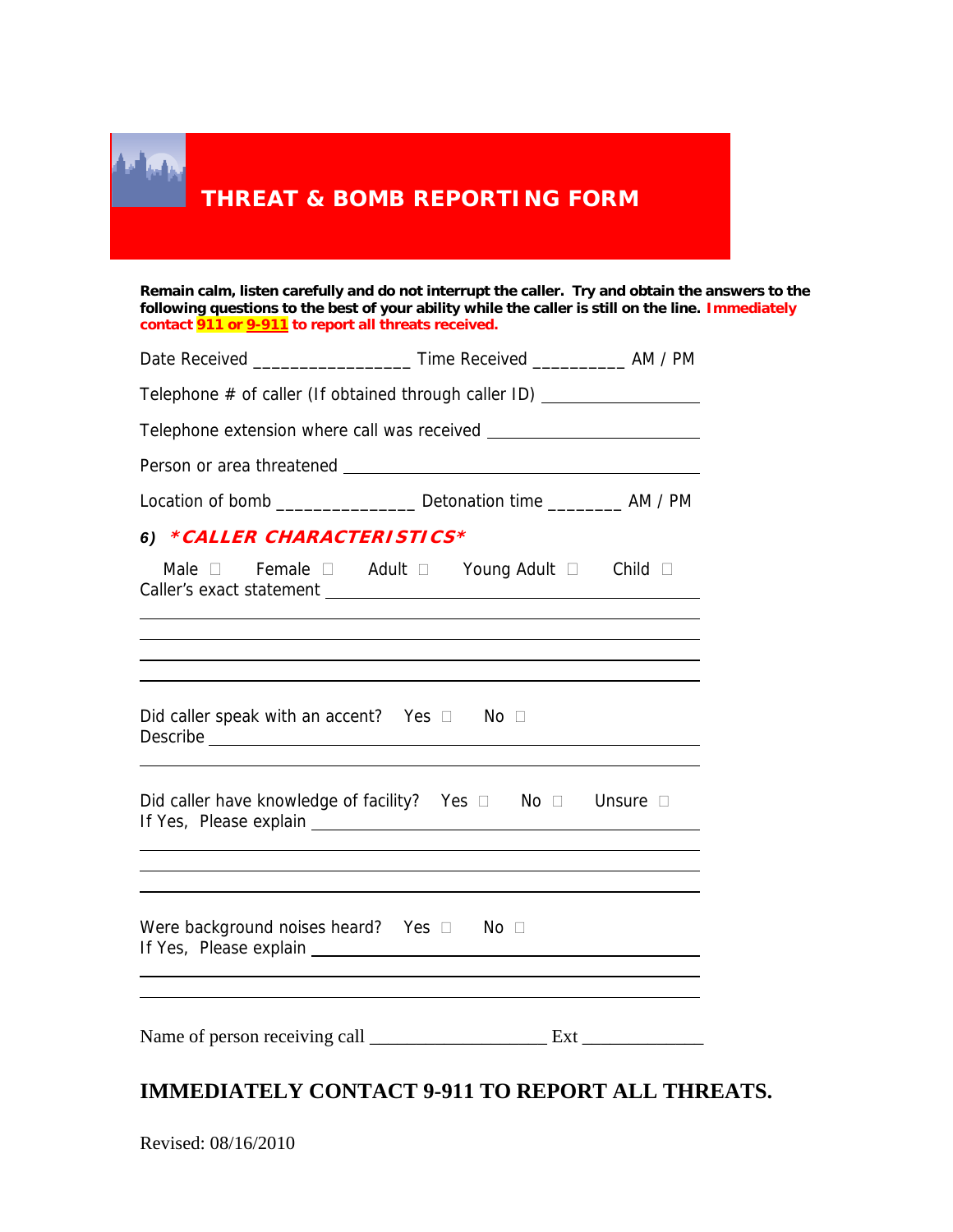| contact 911 or 9-911 to report all threats received.  | Remain calm, listen carefully and do not interrupt the caller. Try and obtain the answers to the<br>following questions to the best of your ability while the caller is still on the line. Immediately                           |  |
|-------------------------------------------------------|----------------------------------------------------------------------------------------------------------------------------------------------------------------------------------------------------------------------------------|--|
|                                                       |                                                                                                                                                                                                                                  |  |
|                                                       | Telephone # of caller (If obtained through caller ID) __________________________                                                                                                                                                 |  |
|                                                       |                                                                                                                                                                                                                                  |  |
|                                                       |                                                                                                                                                                                                                                  |  |
|                                                       | Location of bomb _______________ Detonation time ___________ AM / PM                                                                                                                                                             |  |
| 6) *CALLER CHARACTERISTICS*                           |                                                                                                                                                                                                                                  |  |
|                                                       |                                                                                                                                                                                                                                  |  |
|                                                       | Male D Female D Adult D Young Adult D Child D<br>and the control of the control of the control of the control of the control of the control of the control of the<br><u> 1989 - Johann Stoff, amerikansk politiker (d. 1989)</u> |  |
|                                                       |                                                                                                                                                                                                                                  |  |
| Did caller speak with an accent? Yes $\Box$ No $\Box$ | Did caller have knowledge of facility? Yes $\Box$ No $\Box$ Unsure $\Box$                                                                                                                                                        |  |

### **IMMEDIATELY CONTACT 9-911 TO REPORT ALL THREATS.**

|  | Revised: 08/16/2010 |
|--|---------------------|
|--|---------------------|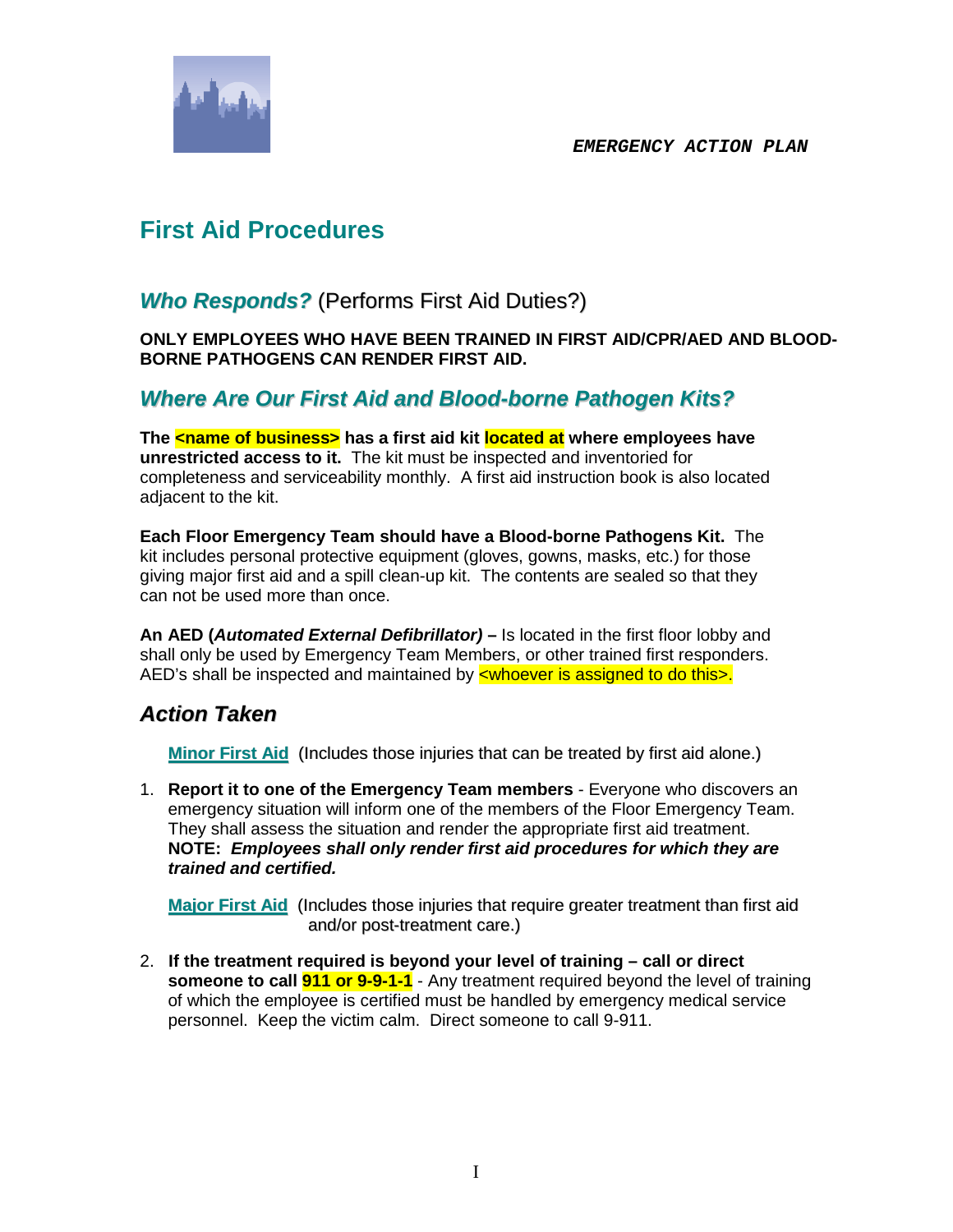

## **First Aid Procedures**

### *Who Responds?* (Performs First Aid Duties?)

**ONLY EMPLOYEES WHO HAVE BEEN TRAINED IN FIRST AID/CPR/AED AND BLOOD-BORNE PATHOGENS CAN RENDER FIRST AID.**

### *Where Are Our First Aid and Blood-borne Pathogen Kits?*

**The chame of business>** has a first aid kit located at where employees have **unrestricted access to it.** The kit must be inspected and inventoried for completeness and serviceability monthly. A first aid instruction book is also located adjacent to the kit.

**Each Floor Emergency Team should have a Blood-borne Pathogens Kit.** The kit includes personal protective equipment (gloves, gowns, masks, etc.) for those giving major first aid and a spill clean-up kit. The contents are sealed so that they can not be used more than once.

**An AED (***Automated External Defibrillator)* **–** Is located in the first floor lobby and shall only be used by Emergency Team Members, or other trained first responders. AED's shall be inspected and maintained by  $\leq$  whoever is assigned to do this $\geq$ .

### *Action Taken*

**Minor First Aid** (Includes those injuries that can be treated by first aid alone.)

1. **Report it to one of the Emergency Team members** - Everyone who discovers an emergency situation will inform one of the members of the Floor Emergency Team. They shall assess the situation and render the appropriate first aid treatment. **NOTE:** *Employees shall only render first aid procedures for which they are trained and certified.*

**Major First Aid** (Includes those injuries that require greater treatment than first aid and/or post-treatment care.)

2. **If the treatment required is beyond your level of training – call or direct someone to call 911 or 9-9-1-1** - Any treatment required beyond the level of training of which the employee is certified must be handled by emergency medical service personnel. Keep the victim calm. Direct someone to call 9-911.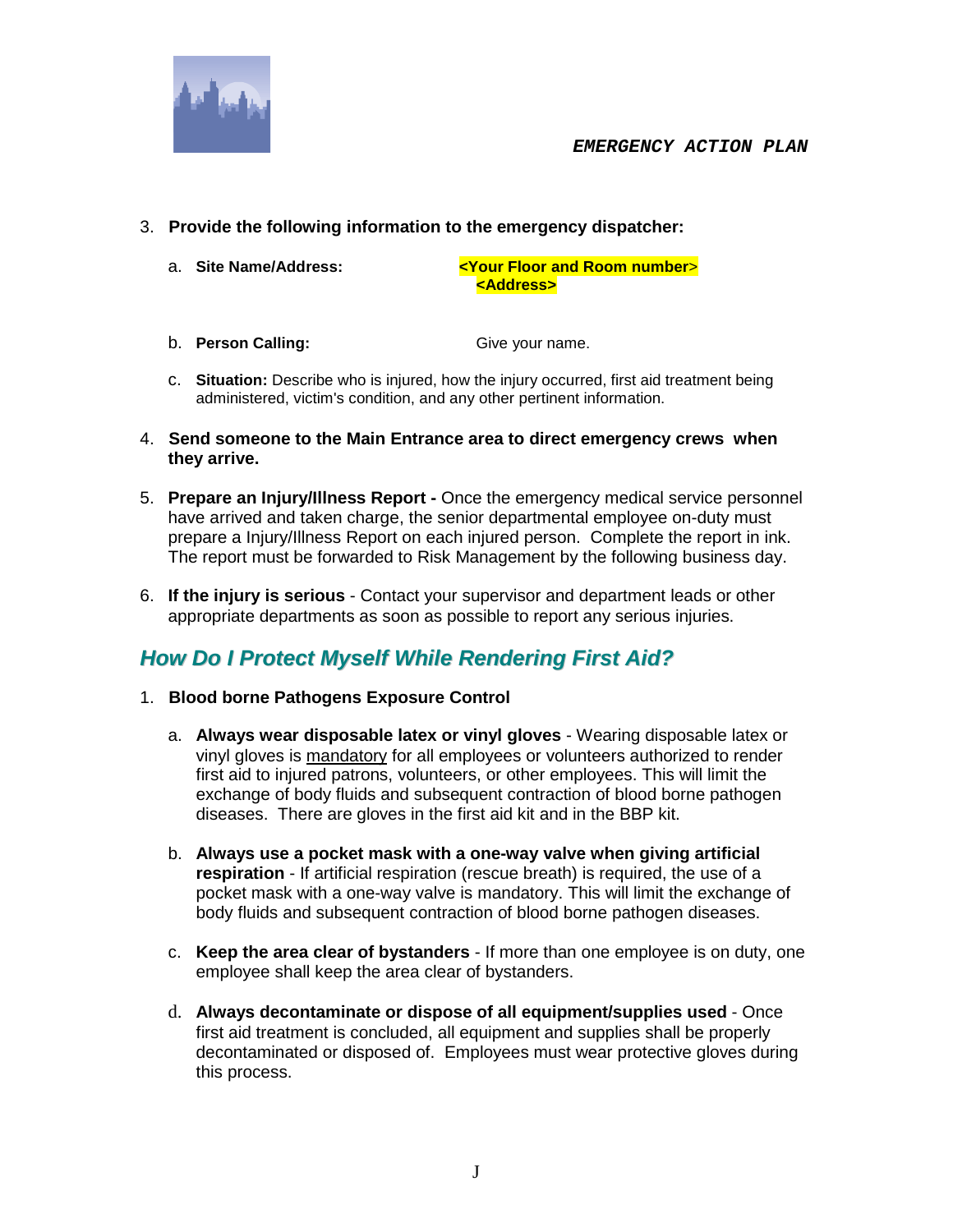



- 3. **Provide the following information to the emergency dispatcher:**
	-

a. **Site Name/Address: <Your Floor and Room number**> **<Address>**

- b. **Person Calling:** Give your name.
- c. **Situation:** Describe who is injured, how the injury occurred, first aid treatment being administered, victim's condition, and any other pertinent information.
- 4. **Send someone to the Main Entrance area to direct emergency crews when they arrive.**
- 5. **Prepare an Injury/Illness Report -** Once the emergency medical service personnel have arrived and taken charge, the senior departmental employee on-duty must prepare a Injury/Illness Report on each injured person. Complete the report in ink. The report must be forwarded to Risk Management by the following business day.
- 6. **If the injury is serious**  Contact your supervisor and department leads or other appropriate departments as soon as possible to report any serious injuries.

### *How Do I Protect Myself While Rendering First Aid?*

- 1. **Blood borne Pathogens Exposure Control**
	- a. **Always wear disposable latex or vinyl gloves** Wearing disposable latex or vinyl gloves is mandatory for all employees or volunteers authorized to render first aid to injured patrons, volunteers, or other employees. This will limit the exchange of body fluids and subsequent contraction of blood borne pathogen diseases. There are gloves in the first aid kit and in the BBP kit.
	- b. **Always use a pocket mask with a one-way valve when giving artificial respiration** - If artificial respiration (rescue breath) is required, the use of a pocket mask with a one-way valve is mandatory. This will limit the exchange of body fluids and subsequent contraction of blood borne pathogen diseases.
	- c. **Keep the area clear of bystanders** If more than one employee is on duty, one employee shall keep the area clear of bystanders.
	- d. **Always decontaminate or dispose of all equipment/supplies used** Once first aid treatment is concluded, all equipment and supplies shall be properly decontaminated or disposed of. Employees must wear protective gloves during this process.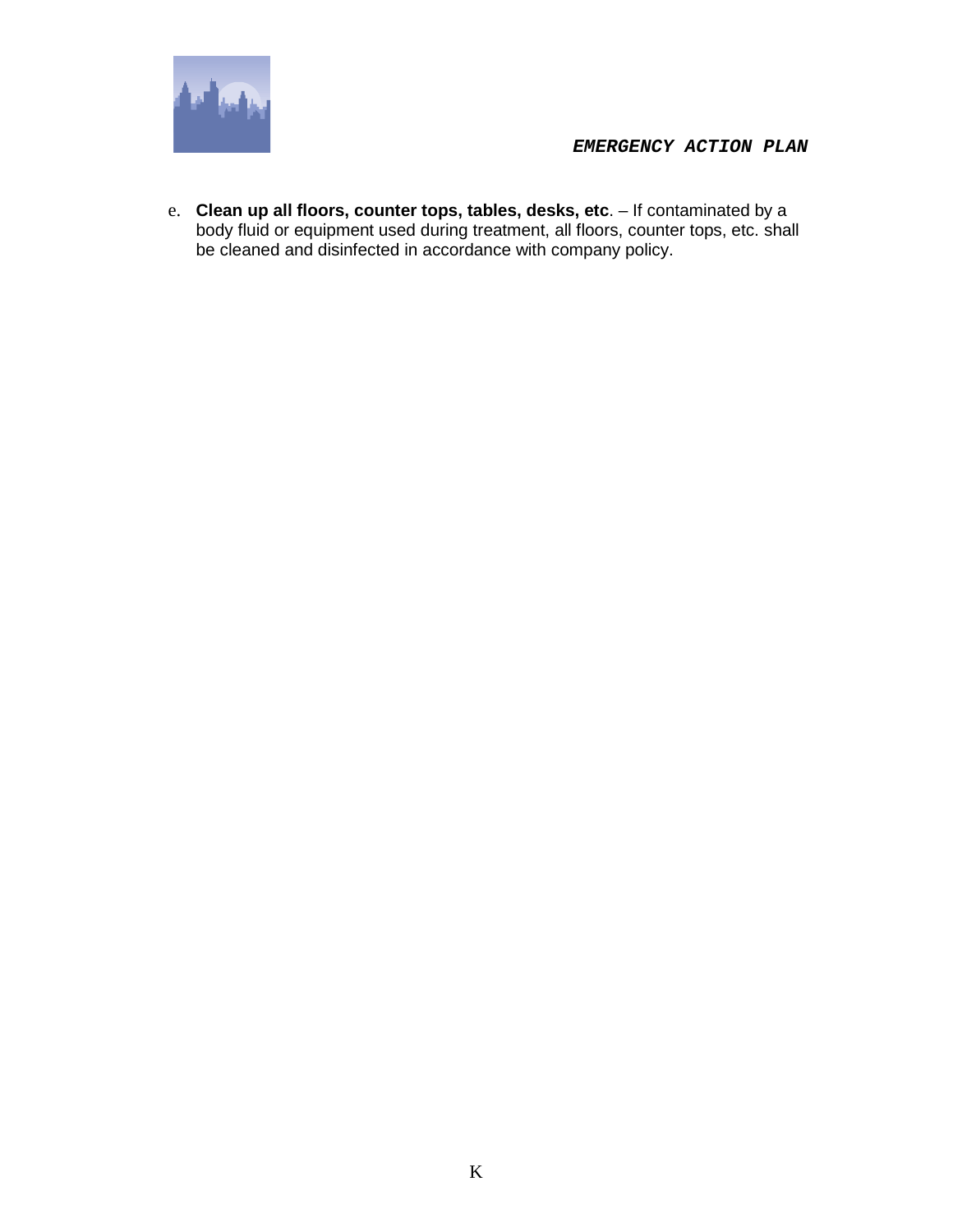

e. **Clean up all floors, counter tops, tables, desks, etc**. – If contaminated by a body fluid or equipment used during treatment, all floors, counter tops, etc. shall be cleaned and disinfected in accordance with company policy.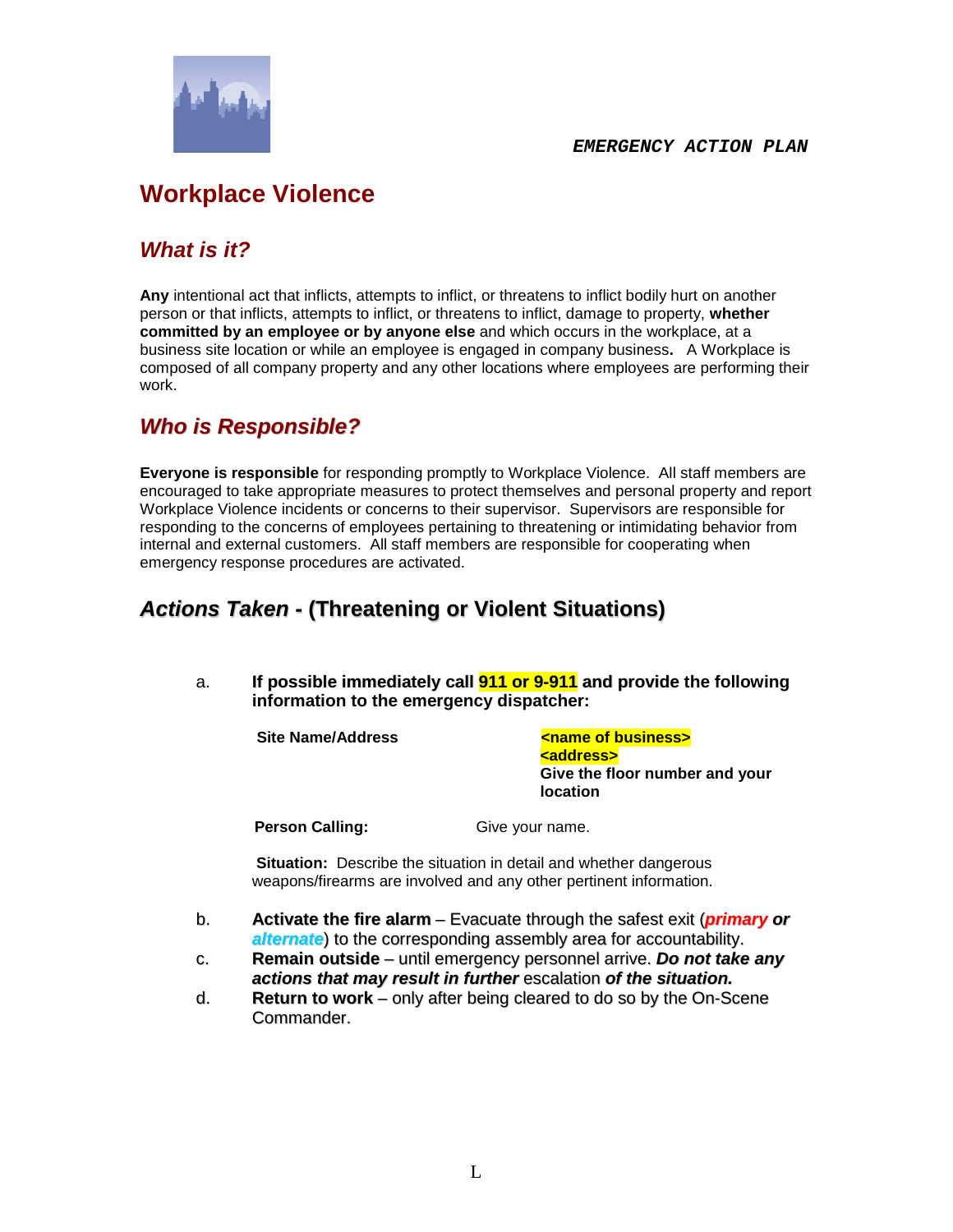

# **Workplace Violence**

### *What is it?*

**Any** intentional act that inflicts, attempts to inflict, or threatens to inflict bodily hurt on another person or that inflicts, attempts to inflict, or threatens to inflict, damage to property, **whether committed by an employee or by anyone else** and which occurs in the workplace, at a business site location or while an employee is engaged in company business**.** A Workplace is composed of all company property and any other locations where employees are performing their work.

### *Who is Responsible?*

**Everyone is responsible** for responding promptly to Workplace Violence. All staff members are encouraged to take appropriate measures to protect themselves and personal property and report Workplace Violence incidents or concerns to their supervisor. Supervisors are responsible for responding to the concerns of employees pertaining to threatening or intimidating behavior from internal and external customers. All staff members are responsible for cooperating when emergency response procedures are activated.

### *Actions Taken -* **(Threatening or Violent Situations)**

a. **If possible immediately call 911 or 9-911 and provide the following information to the emergency dispatcher:**

**Site Name/Address Communist Communist Communist Communist Communist Communist Communist Communist Communist Communist Communist Communist Communist Communist Communist Communist Communist Communist Communist Communist Com <address> Give the floor number and your location** 

**Person Calling:** Give your name.

**Situation:** Describe the situation in detail and whether dangerous weapons/firearms are involved and any other pertinent information.

- b. **Activate the fire alarm** Evacuate through the safest exit (*primary or alternate*) to the corresponding assembly area for accountability.
- c. **Remain outside** until emergency personnel arrive. *Do not take any actions that may result in further* escalation *of the situation.*
- d. **Return to work** only after being cleared to do so by the On-Scene Commander.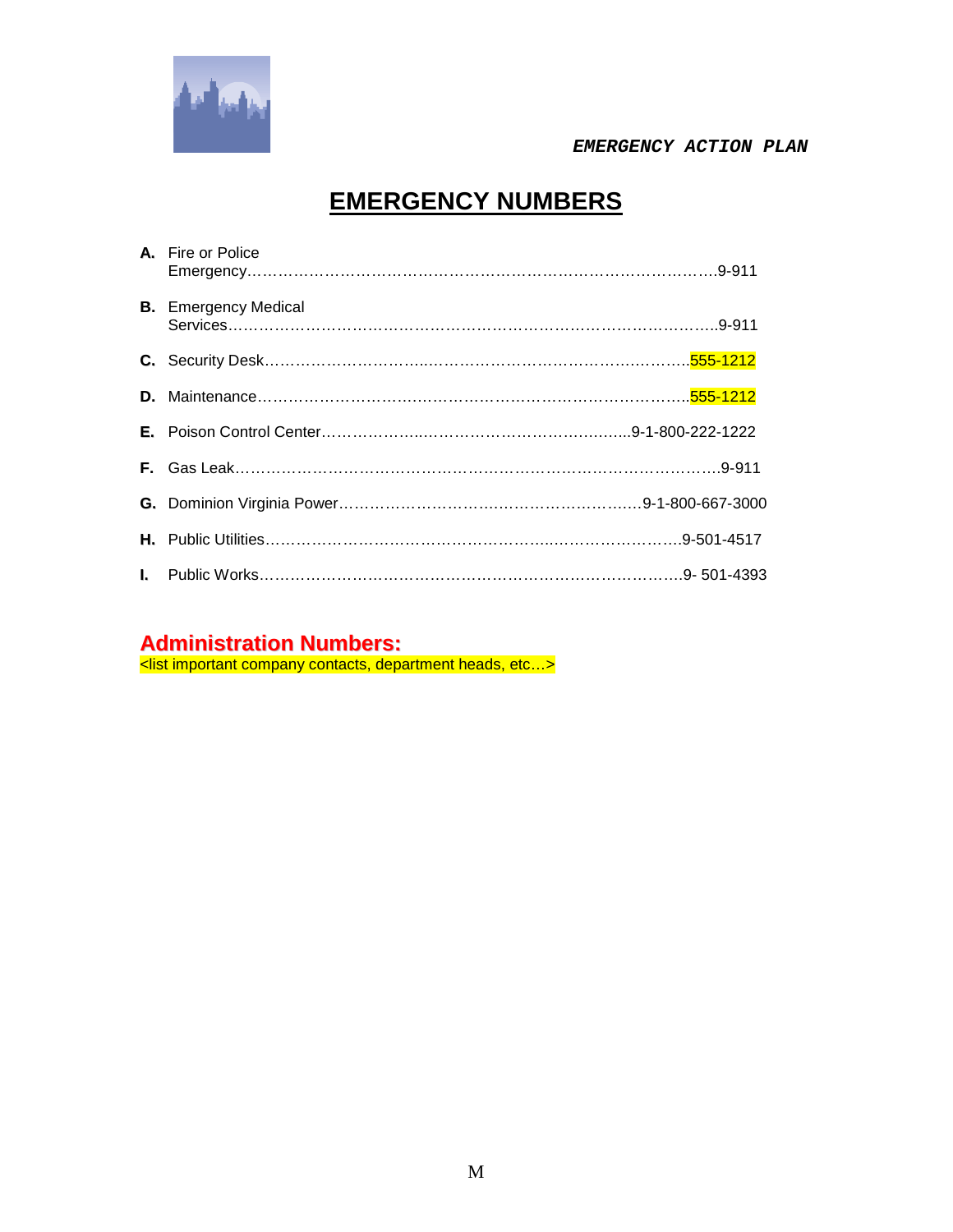

# **EMERGENCY NUMBERS**

| A. Fire or Police           |
|-----------------------------|
| <b>B.</b> Emergency Medical |
|                             |
|                             |
|                             |
|                             |
|                             |
|                             |
|                             |

### **Administration Numbers:**

<list important company contacts, department heads, etc…>